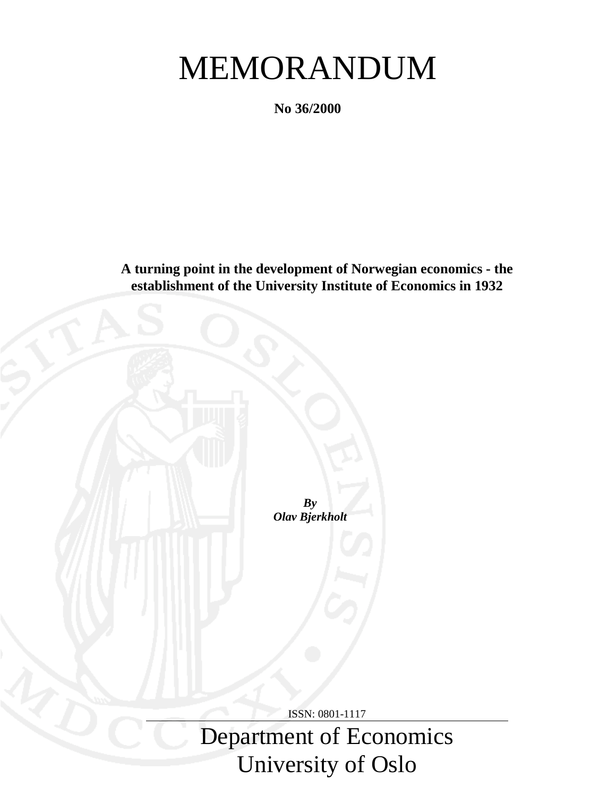# MEMORANDUM

**No 36/2000**

**A turning point in the development of Norwegian economics - the establishment of the University Institute of Economics in 1932**

> *By Olav Bjerkholt*

> > ISSN: 0801-1117

Department of Economics University of Oslo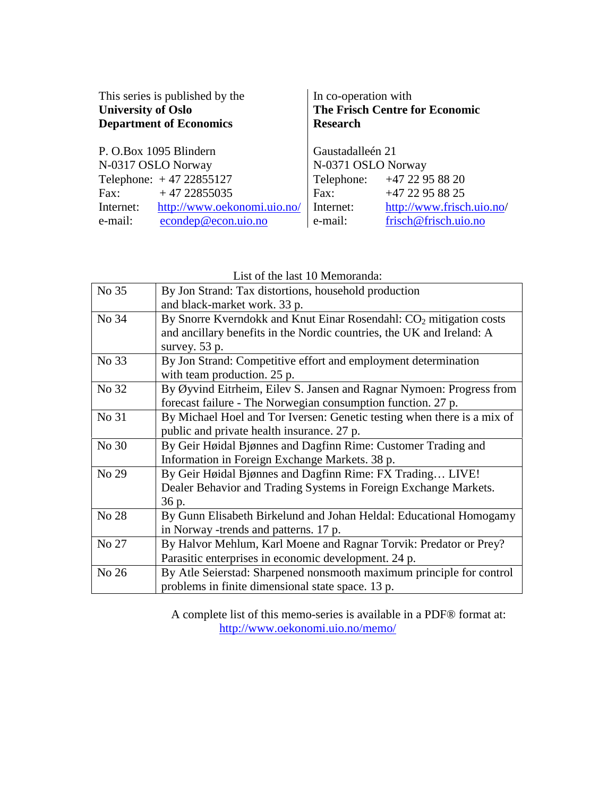| This series is published by the<br><b>University of Oslo</b><br><b>Department of Economics</b> | In co-operation with<br><b>Research</b> | <b>The Frisch Centre for Economic</b> |
|------------------------------------------------------------------------------------------------|-----------------------------------------|---------------------------------------|
| P. O.Box 1095 Blindern                                                                         | Gaustadalleén 21                        |                                       |
| N-0317 OSLO Norway                                                                             | N-0371 OSLO Norway                      |                                       |
| Telephone: $+4722855127$                                                                       |                                         | Telephone: +47 22 95 88 20            |
| $+4722855035$<br>Fax:                                                                          | Fax:                                    | +47 22 95 88 25                       |
| http://www.oekonomi.uio.no/<br>Internet:                                                       | Internet:                               | http://www.frisch.uio.no/             |
| econdep@econ.uio.no<br>e-mail:                                                                 | e-mail:                                 | frisch@frisch.uio.no                  |

| List of the last 10 Memoranda: |  |
|--------------------------------|--|
|--------------------------------|--|

| No 35 | By Jon Strand: Tax distortions, household production                           |
|-------|--------------------------------------------------------------------------------|
|       | and black-market work. 33 p.                                                   |
| No 34 | By Snorre Kverndokk and Knut Einar Rosendahl: CO <sub>2</sub> mitigation costs |
|       | and ancillary benefits in the Nordic countries, the UK and Ireland: A          |
|       | survey. 53 p.                                                                  |
| No 33 | By Jon Strand: Competitive effort and employment determination                 |
|       | with team production. 25 p.                                                    |
| No 32 | By Øyvind Eitrheim, Eilev S. Jansen and Ragnar Nymoen: Progress from           |
|       | forecast failure - The Norwegian consumption function. 27 p.                   |
| No 31 | By Michael Hoel and Tor Iversen: Genetic testing when there is a mix of        |
|       | public and private health insurance. 27 p.                                     |
| No 30 | By Geir Høidal Bjønnes and Dagfinn Rime: Customer Trading and                  |
|       | Information in Foreign Exchange Markets. 38 p.                                 |
| No 29 | By Geir Høidal Bjønnes and Dagfinn Rime: FX Trading LIVE!                      |
|       | Dealer Behavior and Trading Systems in Foreign Exchange Markets.               |
|       | 36 p.                                                                          |
| No 28 | By Gunn Elisabeth Birkelund and Johan Heldal: Educational Homogamy             |
|       | in Norway -trends and patterns. 17 p.                                          |
| No 27 | By Halvor Mehlum, Karl Moene and Ragnar Torvik: Predator or Prey?              |
|       | Parasitic enterprises in economic development. 24 p.                           |
| No 26 | By Atle Seierstad: Sharpened nonsmooth maximum principle for control           |
|       | problems in finite dimensional state space. 13 p.                              |

A complete list of this memo-series is available in a PDF® format at: http://www.oekonomi.uio.no/memo/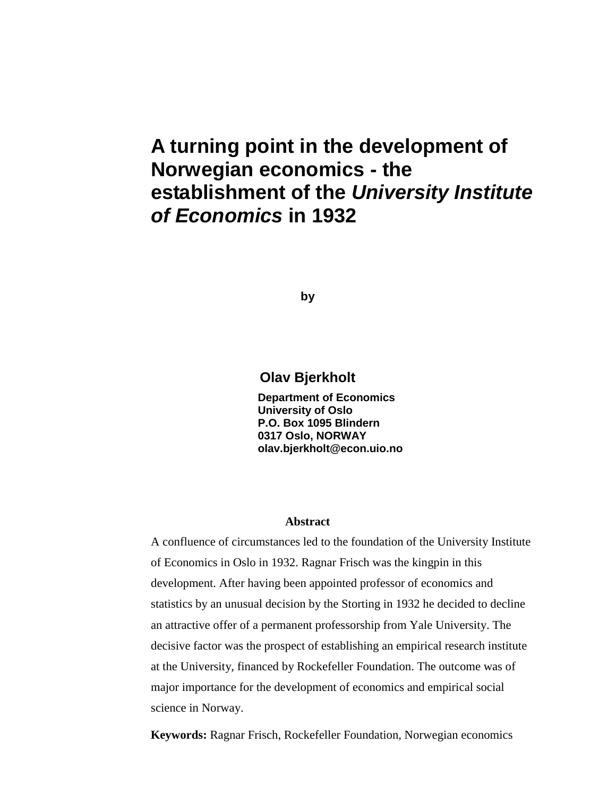# **A turning point in the development of Norwegian economics - the establishment of the** *University Institute of Economics* **in 1932**

**by**

# **Olav Bjerkholt**

**Department of Economics University of Oslo P.O. Box 1095 Blindern 0317 Oslo, NORWAY olav.bjerkholt@econ.uio.no**

#### **Abstract**

A confluence of circumstances led to the foundation of the University Institute of Economics in Oslo in 1932. Ragnar Frisch was the kingpin in this development. After having been appointed professor of economics and statistics by an unusual decision by the Storting in 1932 he decided to decline an attractive offer of a permanent professorship from Yale University. The decisive factor was the prospect of establishing an empirical research institute at the University, financed by Rockefeller Foundation. The outcome was of major importance for the development of economics and empirical social science in Norway.

**Keywords:** Ragnar Frisch, Rockefeller Foundation, Norwegian economics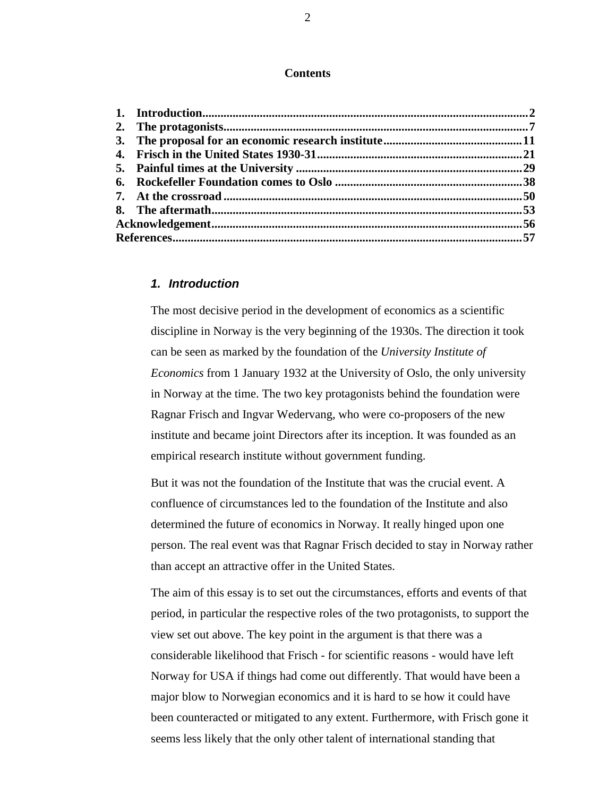#### **Contents**

# *1. Introduction*

The most decisive period in the development of economics as a scientific discipline in Norway is the very beginning of the 1930s. The direction it took can be seen as marked by the foundation of the *University Institute of Economics* from 1 January 1932 at the University of Oslo, the only university in Norway at the time. The two key protagonists behind the foundation were Ragnar Frisch and Ingvar Wedervang, who were co-proposers of the new institute and became joint Directors after its inception. It was founded as an empirical research institute without government funding.

But it was not the foundation of the Institute that was the crucial event. A confluence of circumstances led to the foundation of the Institute and also determined the future of economics in Norway. It really hinged upon one person. The real event was that Ragnar Frisch decided to stay in Norway rather than accept an attractive offer in the United States.

The aim of this essay is to set out the circumstances, efforts and events of that period, in particular the respective roles of the two protagonists, to support the view set out above. The key point in the argument is that there was a considerable likelihood that Frisch - for scientific reasons - would have left Norway for USA if things had come out differently. That would have been a major blow to Norwegian economics and it is hard to se how it could have been counteracted or mitigated to any extent. Furthermore, with Frisch gone it seems less likely that the only other talent of international standing that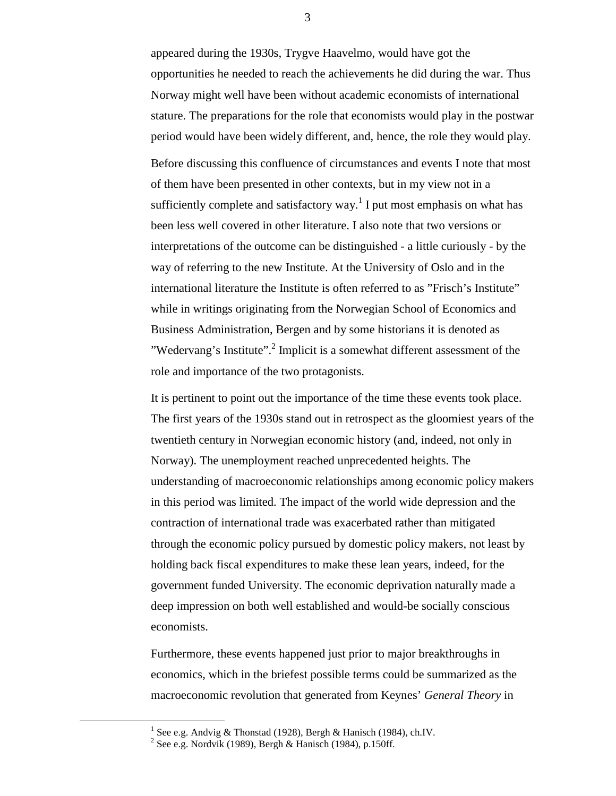appeared during the 1930s, Trygve Haavelmo, would have got the opportunities he needed to reach the achievements he did during the war. Thus Norway might well have been without academic economists of international stature. The preparations for the role that economists would play in the postwar period would have been widely different, and, hence, the role they would play.

Before discussing this confluence of circumstances and events I note that most of them have been presented in other contexts, but in my view not in a sufficiently complete and satisfactory way.<sup>1</sup> I put most emphasis on what has been less well covered in other literature. I also note that two versions or interpretations of the outcome can be distinguished - a little curiously - by the way of referring to the new Institute. At the University of Oslo and in the international literature the Institute is often referred to as "Frisch's Institute" while in writings originating from the Norwegian School of Economics and Business Administration, Bergen and by some historians it is denoted as "Wedervang's Institute".<sup>2</sup> Implicit is a somewhat different assessment of the role and importance of the two protagonists.

It is pertinent to point out the importance of the time these events took place. The first years of the 1930s stand out in retrospect as the gloomiest years of the twentieth century in Norwegian economic history (and, indeed, not only in Norway). The unemployment reached unprecedented heights. The understanding of macroeconomic relationships among economic policy makers in this period was limited. The impact of the world wide depression and the contraction of international trade was exacerbated rather than mitigated through the economic policy pursued by domestic policy makers, not least by holding back fiscal expenditures to make these lean years, indeed, for the government funded University. The economic deprivation naturally made a deep impression on both well established and would-be socially conscious economists.

Furthermore, these events happened just prior to major breakthroughs in economics, which in the briefest possible terms could be summarized as the macroeconomic revolution that generated from Keynes' *General Theory* in

<sup>&</sup>lt;u>1</u> <sup>1</sup> See e.g. Andvig & Thonstad (1928), Bergh & Hanisch (1984), ch.IV.

<sup>&</sup>lt;sup>2</sup> See e.g. Nordvik (1989), Bergh & Hanisch (1984), p.150ff.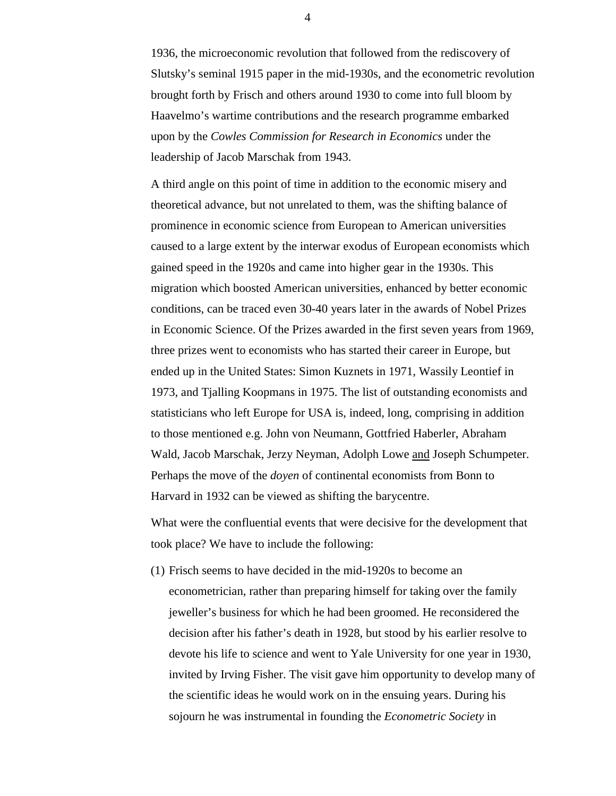1936, the microeconomic revolution that followed from the rediscovery of Slutsky's seminal 1915 paper in the mid-1930s, and the econometric revolution brought forth by Frisch and others around 1930 to come into full bloom by Haavelmo's wartime contributions and the research programme embarked upon by the *Cowles Commission for Research in Economics* under the leadership of Jacob Marschak from 1943.

A third angle on this point of time in addition to the economic misery and theoretical advance, but not unrelated to them, was the shifting balance of prominence in economic science from European to American universities caused to a large extent by the interwar exodus of European economists which gained speed in the 1920s and came into higher gear in the 1930s. This migration which boosted American universities, enhanced by better economic conditions, can be traced even 30-40 years later in the awards of Nobel Prizes in Economic Science. Of the Prizes awarded in the first seven years from 1969, three prizes went to economists who has started their career in Europe, but ended up in the United States: Simon Kuznets in 1971, Wassily Leontief in 1973, and Tjalling Koopmans in 1975. The list of outstanding economists and statisticians who left Europe for USA is, indeed, long, comprising in addition to those mentioned e.g. John von Neumann, Gottfried Haberler, Abraham Wald, Jacob Marschak, Jerzy Neyman, Adolph Lowe and Joseph Schumpeter. Perhaps the move of the *doyen* of continental economists from Bonn to Harvard in 1932 can be viewed as shifting the barycentre.

What were the confluential events that were decisive for the development that took place? We have to include the following:

(1) Frisch seems to have decided in the mid-1920s to become an econometrician, rather than preparing himself for taking over the family jeweller's business for which he had been groomed. He reconsidered the decision after his father's death in 1928, but stood by his earlier resolve to devote his life to science and went to Yale University for one year in 1930, invited by Irving Fisher. The visit gave him opportunity to develop many of the scientific ideas he would work on in the ensuing years. During his sojourn he was instrumental in founding the *Econometric Society* in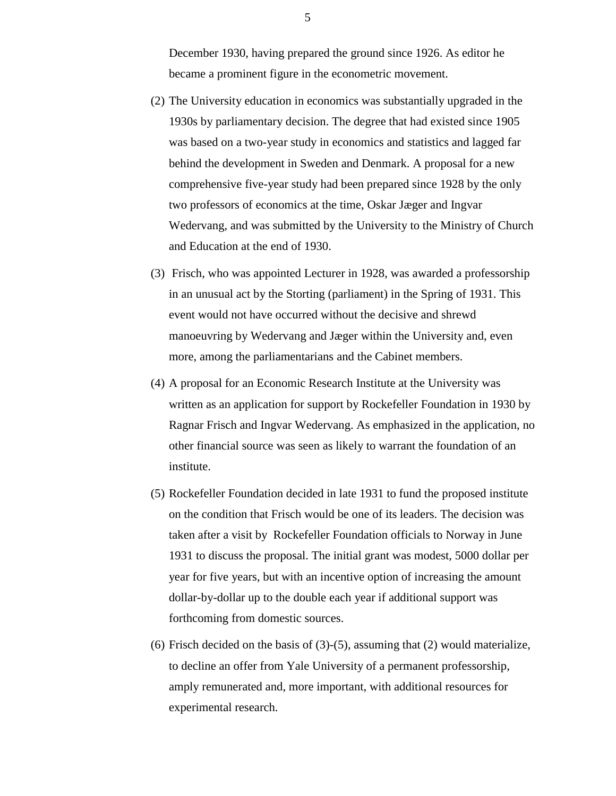December 1930, having prepared the ground since 1926. As editor he became a prominent figure in the econometric movement.

- (2) The University education in economics was substantially upgraded in the 1930s by parliamentary decision. The degree that had existed since 1905 was based on a two-year study in economics and statistics and lagged far behind the development in Sweden and Denmark. A proposal for a new comprehensive five-year study had been prepared since 1928 by the only two professors of economics at the time, Oskar Jæger and Ingvar Wedervang, and was submitted by the University to the Ministry of Church and Education at the end of 1930.
- (3) Frisch, who was appointed Lecturer in 1928, was awarded a professorship in an unusual act by the Storting (parliament) in the Spring of 1931. This event would not have occurred without the decisive and shrewd manoeuvring by Wedervang and Jæger within the University and, even more, among the parliamentarians and the Cabinet members.
- (4) A proposal for an Economic Research Institute at the University was written as an application for support by Rockefeller Foundation in 1930 by Ragnar Frisch and Ingvar Wedervang. As emphasized in the application, no other financial source was seen as likely to warrant the foundation of an institute.
- (5) Rockefeller Foundation decided in late 1931 to fund the proposed institute on the condition that Frisch would be one of its leaders. The decision was taken after a visit by Rockefeller Foundation officials to Norway in June 1931 to discuss the proposal. The initial grant was modest, 5000 dollar per year for five years, but with an incentive option of increasing the amount dollar-by-dollar up to the double each year if additional support was forthcoming from domestic sources.
- (6) Frisch decided on the basis of  $(3)-(5)$ , assuming that  $(2)$  would materialize, to decline an offer from Yale University of a permanent professorship, amply remunerated and, more important, with additional resources for experimental research.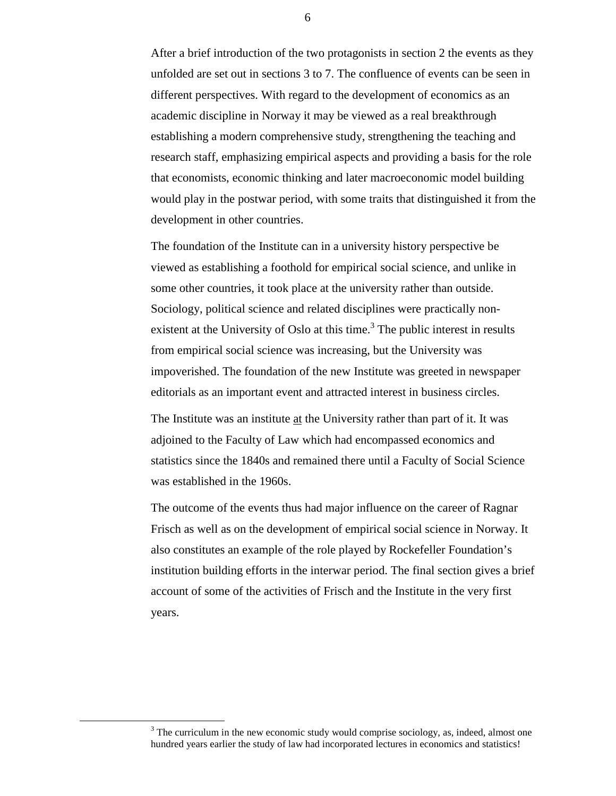After a brief introduction of the two protagonists in section 2 the events as they unfolded are set out in sections 3 to 7. The confluence of events can be seen in different perspectives. With regard to the development of economics as an academic discipline in Norway it may be viewed as a real breakthrough establishing a modern comprehensive study, strengthening the teaching and research staff, emphasizing empirical aspects and providing a basis for the role that economists, economic thinking and later macroeconomic model building would play in the postwar period, with some traits that distinguished it from the development in other countries.

The foundation of the Institute can in a university history perspective be viewed as establishing a foothold for empirical social science, and unlike in some other countries, it took place at the university rather than outside. Sociology, political science and related disciplines were practically nonexistent at the University of Oslo at this time.<sup>3</sup> The public interest in results from empirical social science was increasing, but the University was impoverished. The foundation of the new Institute was greeted in newspaper editorials as an important event and attracted interest in business circles.

The Institute was an institute at the University rather than part of it. It was adjoined to the Faculty of Law which had encompassed economics and statistics since the 1840s and remained there until a Faculty of Social Science was established in the 1960s.

The outcome of the events thus had major influence on the career of Ragnar Frisch as well as on the development of empirical social science in Norway. It also constitutes an example of the role played by Rockefeller Foundation's institution building efforts in the interwar period. The final section gives a brief account of some of the activities of Frisch and the Institute in the very first years.

 $\frac{3}{3}$  $3$  The curriculum in the new economic study would comprise sociology, as, indeed, almost one hundred years earlier the study of law had incorporated lectures in economics and statistics!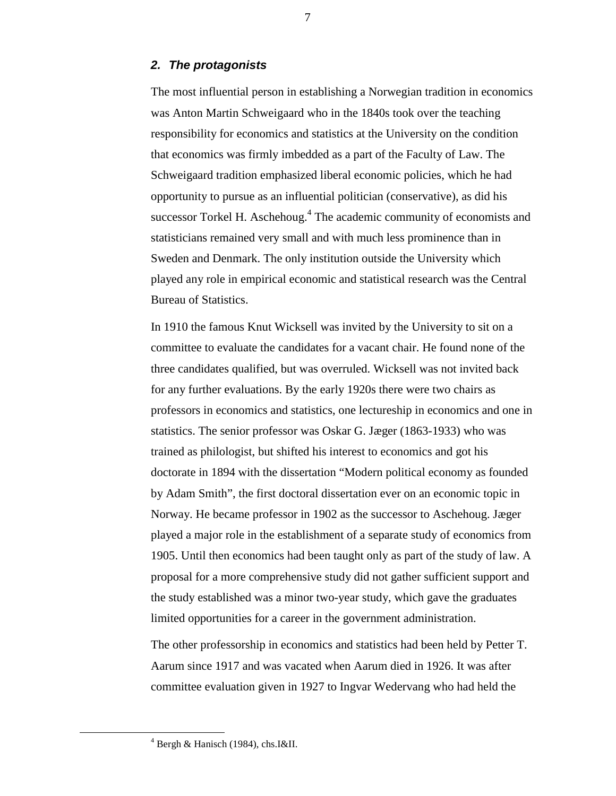#### *2. The protagonists*

The most influential person in establishing a Norwegian tradition in economics was Anton Martin Schweigaard who in the 1840s took over the teaching responsibility for economics and statistics at the University on the condition that economics was firmly imbedded as a part of the Faculty of Law. The Schweigaard tradition emphasized liberal economic policies, which he had opportunity to pursue as an influential politician (conservative), as did his successor Torkel H. Aschehoug.<sup>4</sup> The academic community of economists and statisticians remained very small and with much less prominence than in Sweden and Denmark. The only institution outside the University which played any role in empirical economic and statistical research was the Central Bureau of Statistics.

In 1910 the famous Knut Wicksell was invited by the University to sit on a committee to evaluate the candidates for a vacant chair. He found none of the three candidates qualified, but was overruled. Wicksell was not invited back for any further evaluations. By the early 1920s there were two chairs as professors in economics and statistics, one lectureship in economics and one in statistics. The senior professor was Oskar G. Jæger (1863-1933) who was trained as philologist, but shifted his interest to economics and got his doctorate in 1894 with the dissertation "Modern political economy as founded by Adam Smith", the first doctoral dissertation ever on an economic topic in Norway. He became professor in 1902 as the successor to Aschehoug. Jæger played a major role in the establishment of a separate study of economics from 1905. Until then economics had been taught only as part of the study of law. A proposal for a more comprehensive study did not gather sufficient support and the study established was a minor two-year study, which gave the graduates limited opportunities for a career in the government administration.

The other professorship in economics and statistics had been held by Petter T. Aarum since 1917 and was vacated when Aarum died in 1926. It was after committee evaluation given in 1927 to Ingvar Wedervang who had held the

 <sup>4</sup>  $4$  Bergh & Hanisch (1984), chs.I&II.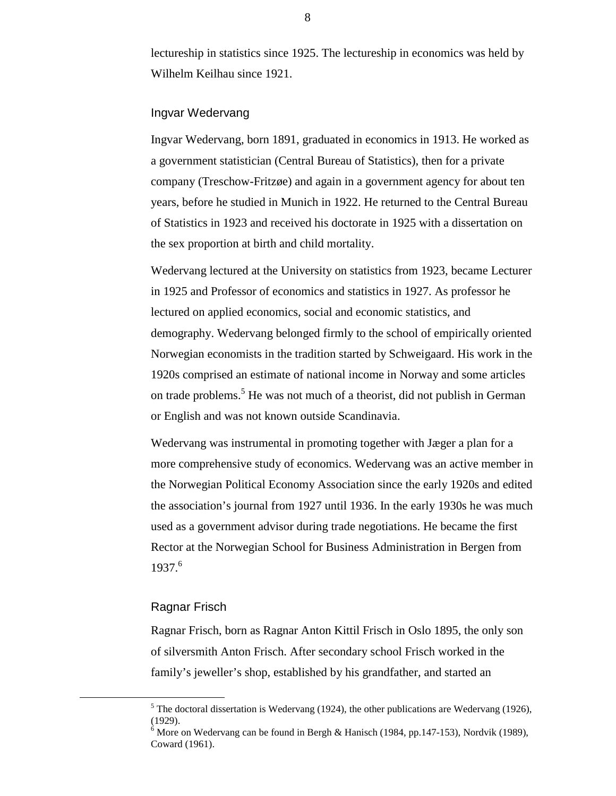lectureship in statistics since 1925. The lectureship in economics was held by Wilhelm Keilhau since 1921.

## Ingvar Wedervang

Ingvar Wedervang, born 1891, graduated in economics in 1913. He worked as a government statistician (Central Bureau of Statistics), then for a private company (Treschow-Fritzøe) and again in a government agency for about ten years, before he studied in Munich in 1922. He returned to the Central Bureau of Statistics in 1923 and received his doctorate in 1925 with a dissertation on the sex proportion at birth and child mortality.

Wedervang lectured at the University on statistics from 1923, became Lecturer in 1925 and Professor of economics and statistics in 1927. As professor he lectured on applied economics, social and economic statistics, and demography. Wedervang belonged firmly to the school of empirically oriented Norwegian economists in the tradition started by Schweigaard. His work in the 1920s comprised an estimate of national income in Norway and some articles on trade problems.<sup>5</sup> He was not much of a theorist, did not publish in German or English and was not known outside Scandinavia.

Wedervang was instrumental in promoting together with Jæger a plan for a more comprehensive study of economics. Wedervang was an active member in the Norwegian Political Economy Association since the early 1920s and edited the association's journal from 1927 until 1936. In the early 1930s he was much used as a government advisor during trade negotiations. He became the first Rector at the Norwegian School for Business Administration in Bergen from 1937.<sup>6</sup>

#### Ragnar Frisch

Ragnar Frisch, born as Ragnar Anton Kittil Frisch in Oslo 1895, the only son of silversmith Anton Frisch. After secondary school Frisch worked in the family's jeweller's shop, established by his grandfather, and started an

 $\frac{1}{5}$  $<sup>5</sup>$  The doctoral dissertation is Wedervang (1924), the other publications are Wedervang (1926),</sup> (1929).

 $6$  More on Wedervang can be found in Bergh & Hanisch (1984, pp.147-153), Nordvik (1989), Coward (1961).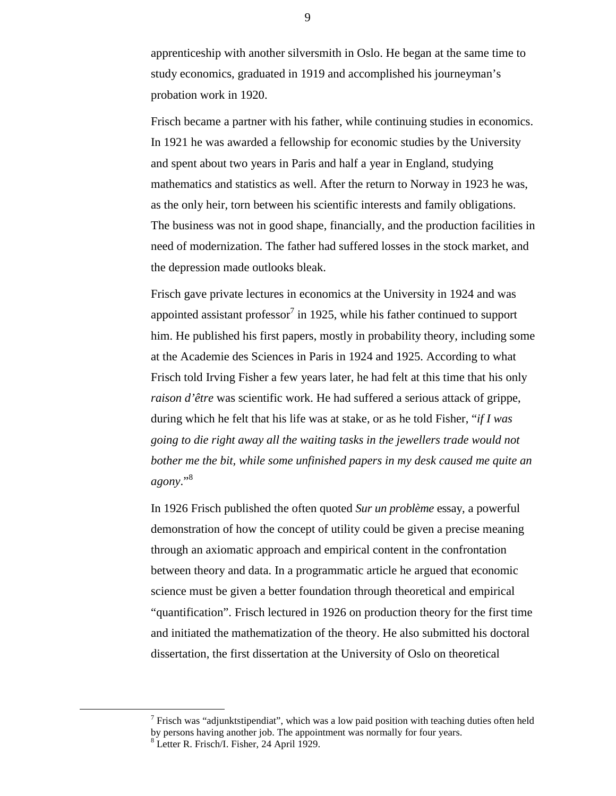apprenticeship with another silversmith in Oslo. He began at the same time to study economics, graduated in 1919 and accomplished his journeyman's probation work in 1920.

Frisch became a partner with his father, while continuing studies in economics. In 1921 he was awarded a fellowship for economic studies by the University and spent about two years in Paris and half a year in England, studying mathematics and statistics as well. After the return to Norway in 1923 he was, as the only heir, torn between his scientific interests and family obligations. The business was not in good shape, financially, and the production facilities in need of modernization. The father had suffered losses in the stock market, and the depression made outlooks bleak.

Frisch gave private lectures in economics at the University in 1924 and was appointed assistant professor<sup>7</sup> in 1925, while his father continued to support him. He published his first papers, mostly in probability theory, including some at the Academie des Sciences in Paris in 1924 and 1925. According to what Frisch told Irving Fisher a few years later, he had felt at this time that his only *raison d'être* was scientific work. He had suffered a serious attack of grippe, during which he felt that his life was at stake, or as he told Fisher, "*if I was going to die right away all the waiting tasks in the jewellers trade would not bother me the bit, while some unfinished papers in my desk caused me quite an agony*."<sup>8</sup>

In 1926 Frisch published the often quoted *Sur un problème* essay, a powerful demonstration of how the concept of utility could be given a precise meaning through an axiomatic approach and empirical content in the confrontation between theory and data. In a programmatic article he argued that economic science must be given a better foundation through theoretical and empirical "quantification". Frisch lectured in 1926 on production theory for the first time and initiated the mathematization of the theory. He also submitted his doctoral dissertation, the first dissertation at the University of Oslo on theoretical

<sup>&</sup>lt;u>7</u> <sup>7</sup> Frisch was "adjunktstipendiat", which was a low paid position with teaching duties often held by persons having another job. The appointment was normally for four years. 8 Letter R. Frisch/I. Fisher, 24 April 1929.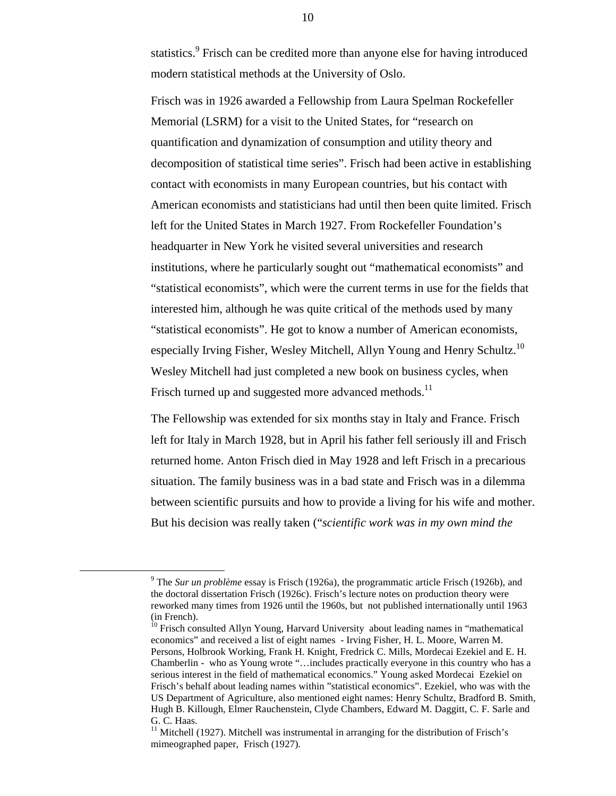statistics.<sup>9</sup> Frisch can be credited more than anyone else for having introduced modern statistical methods at the University of Oslo.

Frisch was in 1926 awarded a Fellowship from Laura Spelman Rockefeller Memorial (LSRM) for a visit to the United States, for "research on quantification and dynamization of consumption and utility theory and decomposition of statistical time series". Frisch had been active in establishing contact with economists in many European countries, but his contact with American economists and statisticians had until then been quite limited. Frisch left for the United States in March 1927. From Rockefeller Foundation's headquarter in New York he visited several universities and research institutions, where he particularly sought out "mathematical economists" and "statistical economists", which were the current terms in use for the fields that interested him, although he was quite critical of the methods used by many "statistical economists". He got to know a number of American economists, especially Irving Fisher, Wesley Mitchell, Allyn Young and Henry Schultz.<sup>10</sup> Wesley Mitchell had just completed a new book on business cycles, when Frisch turned up and suggested more advanced methods.<sup>11</sup>

The Fellowship was extended for six months stay in Italy and France. Frisch left for Italy in March 1928, but in April his father fell seriously ill and Frisch returned home. Anton Frisch died in May 1928 and left Frisch in a precarious situation. The family business was in a bad state and Frisch was in a dilemma between scientific pursuits and how to provide a living for his wife and mother. But his decision was really taken ("*scientific work was in my own mind the*

 $\overline{\phantom{a}}$  The *Sur un problème* essay is Frisch (1926a), the programmatic article Frisch (1926b), and the doctoral dissertation Frisch (1926c). Frisch's lecture notes on production theory were reworked many times from 1926 until the 1960s, but not published internationally until 1963 (in French).

<sup>&</sup>lt;sup>10</sup> Frisch consulted Allyn Young, Harvard University about leading names in "mathematical economics" and received a list of eight names - Irving Fisher, H. L. Moore, Warren M. Persons, Holbrook Working, Frank H. Knight, Fredrick C. Mills, Mordecai Ezekiel and E. H. Chamberlin - who as Young wrote "…includes practically everyone in this country who has a serious interest in the field of mathematical economics." Young asked Mordecai Ezekiel on Frisch's behalf about leading names within "statistical economics". Ezekiel, who was with the US Department of Agriculture, also mentioned eight names: Henry Schultz, Bradford B. Smith, Hugh B. Killough, Elmer Rauchenstein, Clyde Chambers, Edward M. Daggitt, C. F. Sarle and G. C. Haas.

 $11$  Mitchell (1927). Mitchell was instrumental in arranging for the distribution of Frisch's mimeographed paper, Frisch (1927).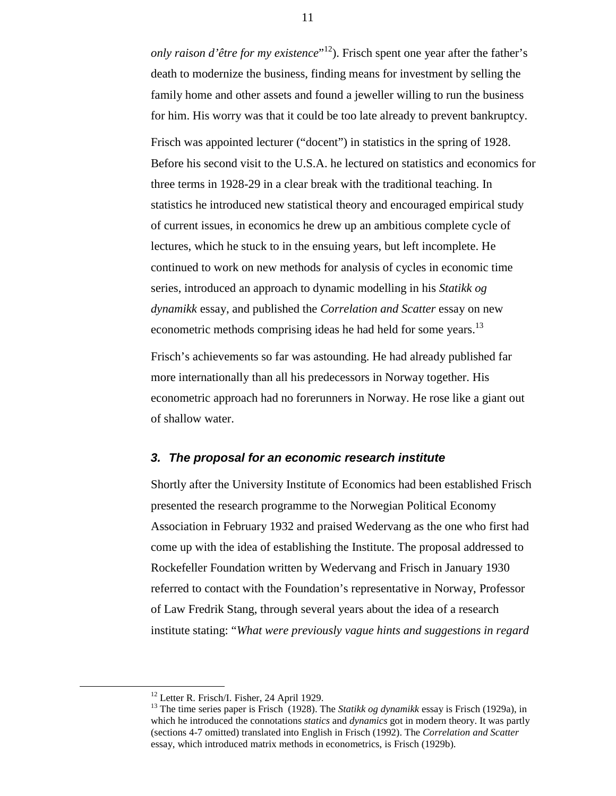*only raison d'être for my existence*" 12). Frisch spent one year after the father's death to modernize the business, finding means for investment by selling the family home and other assets and found a jeweller willing to run the business for him. His worry was that it could be too late already to prevent bankruptcy.

Frisch was appointed lecturer ("docent") in statistics in the spring of 1928. Before his second visit to the U.S.A. he lectured on statistics and economics for three terms in 1928-29 in a clear break with the traditional teaching. In statistics he introduced new statistical theory and encouraged empirical study of current issues, in economics he drew up an ambitious complete cycle of lectures, which he stuck to in the ensuing years, but left incomplete. He continued to work on new methods for analysis of cycles in economic time series, introduced an approach to dynamic modelling in his *Statikk og dynamikk* essay, and published the *Correlation and Scatter* essay on new econometric methods comprising ideas he had held for some years.<sup>13</sup>

Frisch's achievements so far was astounding. He had already published far more internationally than all his predecessors in Norway together. His econometric approach had no forerunners in Norway. He rose like a giant out of shallow water.

#### *3. The proposal for an economic research institute*

Shortly after the University Institute of Economics had been established Frisch presented the research programme to the Norwegian Political Economy Association in February 1932 and praised Wedervang as the one who first had come up with the idea of establishing the Institute. The proposal addressed to Rockefeller Foundation written by Wedervang and Frisch in January 1930 referred to contact with the Foundation's representative in Norway, Professor of Law Fredrik Stang, through several years about the idea of a research institute stating: "*What were previously vague hints and suggestions in regard*

 <sup>12</sup> Letter R. Frisch/I. Fisher, 24 April 1929.

<sup>&</sup>lt;sup>13</sup> The time series paper is Frisch (1928). The *Statikk og dynamikk* essay is Frisch (1929a), in which he introduced the connotations *statics* and *dynamics* got in modern theory. It was partly (sections 4-7 omitted) translated into English in Frisch (1992). The *Correlation and Scatter* essay, which introduced matrix methods in econometrics, is Frisch (1929b).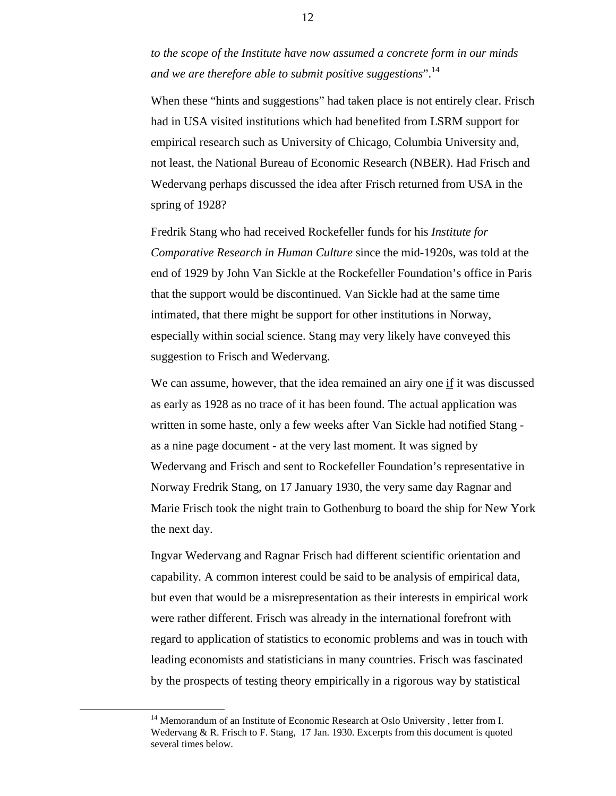*to the scope of the Institute have now assumed a concrete form in our minds and we are therefore able to submit positive suggestions*".14

When these "hints and suggestions" had taken place is not entirely clear. Frisch had in USA visited institutions which had benefited from LSRM support for empirical research such as University of Chicago, Columbia University and, not least, the National Bureau of Economic Research (NBER). Had Frisch and Wedervang perhaps discussed the idea after Frisch returned from USA in the spring of 1928?

Fredrik Stang who had received Rockefeller funds for his *Institute for Comparative Research in Human Culture* since the mid-1920s, was told at the end of 1929 by John Van Sickle at the Rockefeller Foundation's office in Paris that the support would be discontinued. Van Sickle had at the same time intimated, that there might be support for other institutions in Norway, especially within social science. Stang may very likely have conveyed this suggestion to Frisch and Wedervang.

We can assume, however, that the idea remained an airy one if it was discussed as early as 1928 as no trace of it has been found. The actual application was written in some haste, only a few weeks after Van Sickle had notified Stang as a nine page document - at the very last moment. It was signed by Wedervang and Frisch and sent to Rockefeller Foundation's representative in Norway Fredrik Stang, on 17 January 1930, the very same day Ragnar and Marie Frisch took the night train to Gothenburg to board the ship for New York the next day.

Ingvar Wedervang and Ragnar Frisch had different scientific orientation and capability. A common interest could be said to be analysis of empirical data, but even that would be a misrepresentation as their interests in empirical work were rather different. Frisch was already in the international forefront with regard to application of statistics to economic problems and was in touch with leading economists and statisticians in many countries. Frisch was fascinated by the prospects of testing theory empirically in a rigorous way by statistical

<sup>&</sup>lt;sup>14</sup> Memorandum of an Institute of Economic Research at Oslo University, letter from I. Wedervang & R. Frisch to F. Stang, 17 Jan. 1930. Excerpts from this document is quoted several times below.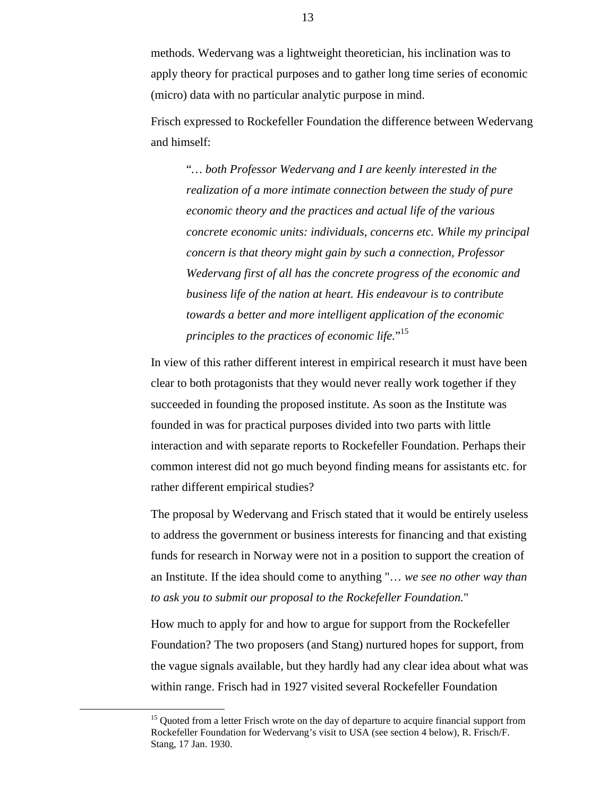methods. Wedervang was a lightweight theoretician, his inclination was to apply theory for practical purposes and to gather long time series of economic (micro) data with no particular analytic purpose in mind.

Frisch expressed to Rockefeller Foundation the difference between Wedervang and himself:

"*… both Professor Wedervang and I are keenly interested in the realization of a more intimate connection between the study of pure economic theory and the practices and actual life of the various concrete economic units: individuals, concerns etc. While my principal concern is that theory might gain by such a connection, Professor Wedervang first of all has the concrete progress of the economic and business life of the nation at heart. His endeavour is to contribute towards a better and more intelligent application of the economic principles to the practices of economic life.*" 15

In view of this rather different interest in empirical research it must have been clear to both protagonists that they would never really work together if they succeeded in founding the proposed institute. As soon as the Institute was founded in was for practical purposes divided into two parts with little interaction and with separate reports to Rockefeller Foundation. Perhaps their common interest did not go much beyond finding means for assistants etc. for rather different empirical studies?

The proposal by Wedervang and Frisch stated that it would be entirely useless to address the government or business interests for financing and that existing funds for research in Norway were not in a position to support the creation of an Institute. If the idea should come to anything "… *we see no other way than to ask you to submit our proposal to the Rockefeller Foundation.*"

How much to apply for and how to argue for support from the Rockefeller Foundation? The two proposers (and Stang) nurtured hopes for support, from the vague signals available, but they hardly had any clear idea about what was within range. Frisch had in 1927 visited several Rockefeller Foundation

 $15$  Quoted from a letter Frisch wrote on the day of departure to acquire financial support from Rockefeller Foundation for Wedervang's visit to USA (see section 4 below), R. Frisch/F. Stang, 17 Jan. 1930.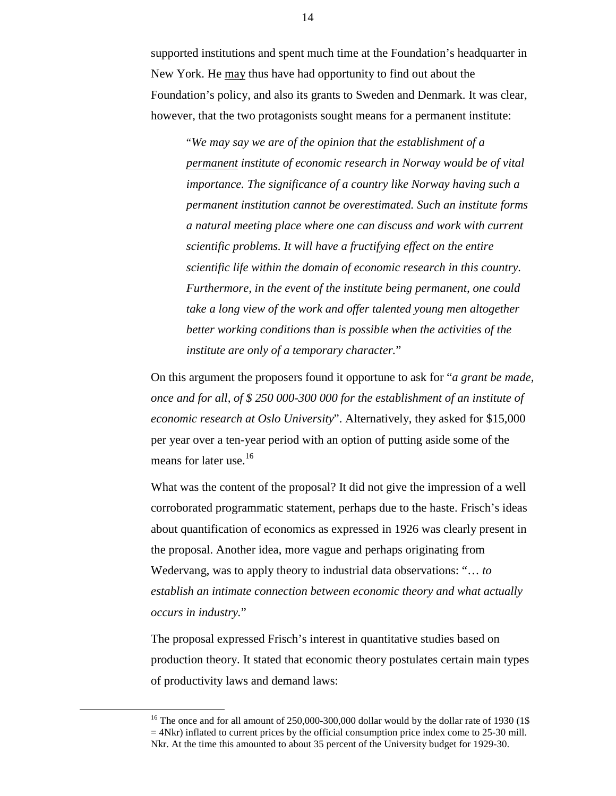supported institutions and spent much time at the Foundation's headquarter in New York. He may thus have had opportunity to find out about the Foundation's policy, and also its grants to Sweden and Denmark. It was clear, however, that the two protagonists sought means for a permanent institute:

"*We may say we are of the opinion that the establishment of a permanent institute of economic research in Norway would be of vital importance. The significance of a country like Norway having such a permanent institution cannot be overestimated. Such an institute forms a natural meeting place where one can discuss and work with current scientific problems. It will have a fructifying effect on the entire scientific life within the domain of economic research in this country. Furthermore, in the event of the institute being permanent, one could take a long view of the work and offer talented young men altogether better working conditions than is possible when the activities of the institute are only of a temporary character.*"

On this argument the proposers found it opportune to ask for "*a grant be made, once and for all, of \$ 250 000-300 000 for the establishment of an institute of economic research at Oslo University*". Alternatively, they asked for \$15,000 per year over a ten-year period with an option of putting aside some of the means for later use.<sup>16</sup>

What was the content of the proposal? It did not give the impression of a well corroborated programmatic statement, perhaps due to the haste. Frisch's ideas about quantification of economics as expressed in 1926 was clearly present in the proposal. Another idea, more vague and perhaps originating from Wedervang, was to apply theory to industrial data observations: "… *to establish an intimate connection between economic theory and what actually occurs in industry.*"

The proposal expressed Frisch's interest in quantitative studies based on production theory. It stated that economic theory postulates certain main types of productivity laws and demand laws:

<sup>&</sup>lt;sup>16</sup> The once and for all amount of  $250,000$ -300,000 dollar would by the dollar rate of 1930 (1\$)  $=$  4Nkr) inflated to current prices by the official consumption price index come to 25-30 mill. Nkr. At the time this amounted to about 35 percent of the University budget for 1929-30.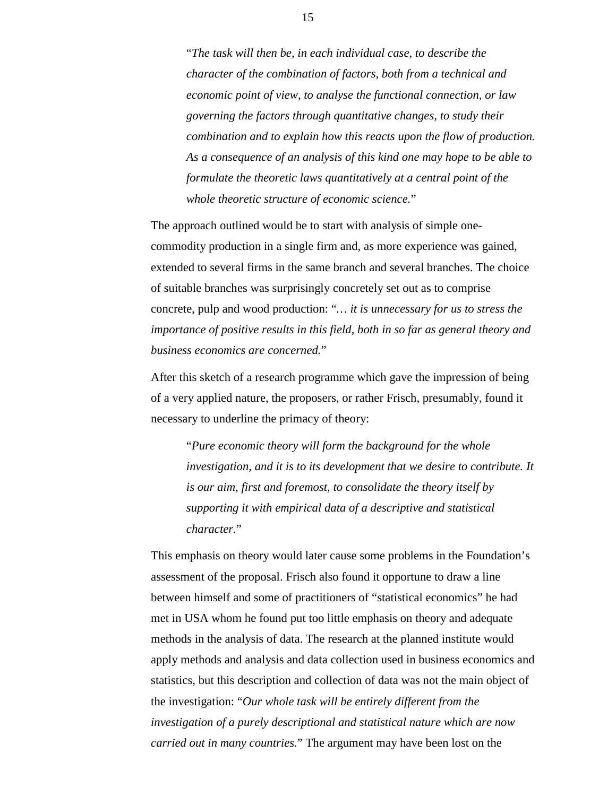"*The task will then be, in each individual case, to describe the character of the combination of factors, both from a technical and economic point of view, to analyse the functional connection, or law governing the factors through quantitative changes, to study their combination and to explain how this reacts upon the flow of production. As a consequence of an analysis of this kind one may hope to be able to formulate the theoretic laws quantitatively at a central point of the whole theoretic structure of economic science.*"

The approach outlined would be to start with analysis of simple onecommodity production in a single firm and, as more experience was gained, extended to several firms in the same branch and several branches. The choice of suitable branches was surprisingly concretely set out as to comprise concrete, pulp and wood production: "*… it is unnecessary for us to stress the importance of positive results in this field, both in so far as general theory and business economics are concerned.*"

After this sketch of a research programme which gave the impression of being of a very applied nature, the proposers, or rather Frisch, presumably, found it necessary to underline the primacy of theory:

"*Pure economic theory will form the background for the whole investigation, and it is to its development that we desire to contribute. It is our aim, first and foremost, to consolidate the theory itself by supporting it with empirical data of a descriptive and statistical character.*"

This emphasis on theory would later cause some problems in the Foundation's assessment of the proposal. Frisch also found it opportune to draw a line between himself and some of practitioners of "statistical economics" he had met in USA whom he found put too little emphasis on theory and adequate methods in the analysis of data. The research at the planned institute would apply methods and analysis and data collection used in business economics and statistics, but this description and collection of data was not the main object of the investigation: "*Our whole task will be entirely different from the investigation of a purely descriptional and statistical nature which are now carried out in many countries.*" The argument may have been lost on the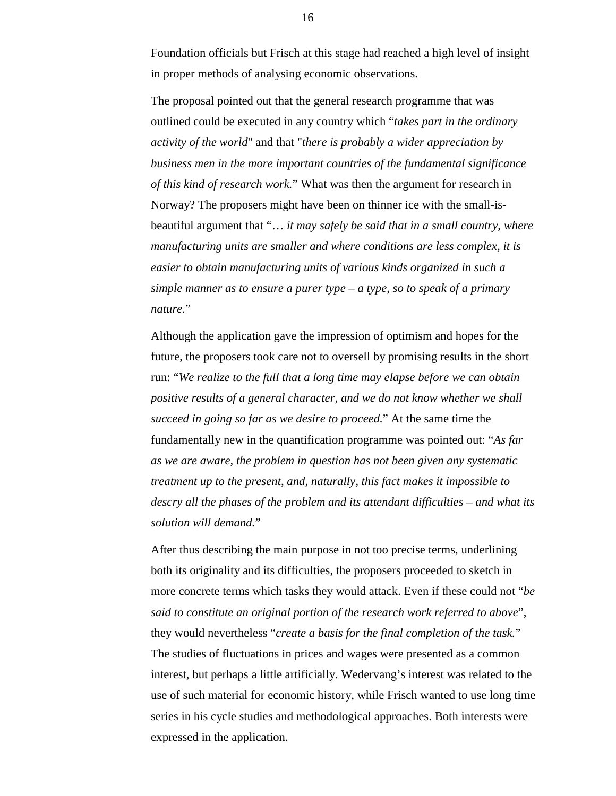Foundation officials but Frisch at this stage had reached a high level of insight in proper methods of analysing economic observations.

The proposal pointed out that the general research programme that was outlined could be executed in any country which "*takes part in the ordinary activity of the world*" and that "*there is probably a wider appreciation by business men in the more important countries of the fundamental significance of this kind of research work.*" What was then the argument for research in Norway? The proposers might have been on thinner ice with the small-isbeautiful argument that "… *it may safely be said that in a small country, where manufacturing units are smaller and where conditions are less complex, it is easier to obtain manufacturing units of various kinds organized in such a simple manner as to ensure a purer type – a type, so to speak of a primary nature.*"

Although the application gave the impression of optimism and hopes for the future, the proposers took care not to oversell by promising results in the short run: "*We realize to the full that a long time may elapse before we can obtain positive results of a general character, and we do not know whether we shall succeed in going so far as we desire to proceed.*" At the same time the fundamentally new in the quantification programme was pointed out: "*As far as we are aware, the problem in question has not been given any systematic treatment up to the present, and, naturally, this fact makes it impossible to descry all the phases of the problem and its attendant difficulties – and what its solution will demand.*"

After thus describing the main purpose in not too precise terms, underlining both its originality and its difficulties, the proposers proceeded to sketch in more concrete terms which tasks they would attack. Even if these could not "*be said to constitute an original portion of the research work referred to above*", they would nevertheless "*create a basis for the final completion of the task.*" The studies of fluctuations in prices and wages were presented as a common interest, but perhaps a little artificially. Wedervang's interest was related to the use of such material for economic history, while Frisch wanted to use long time series in his cycle studies and methodological approaches. Both interests were expressed in the application.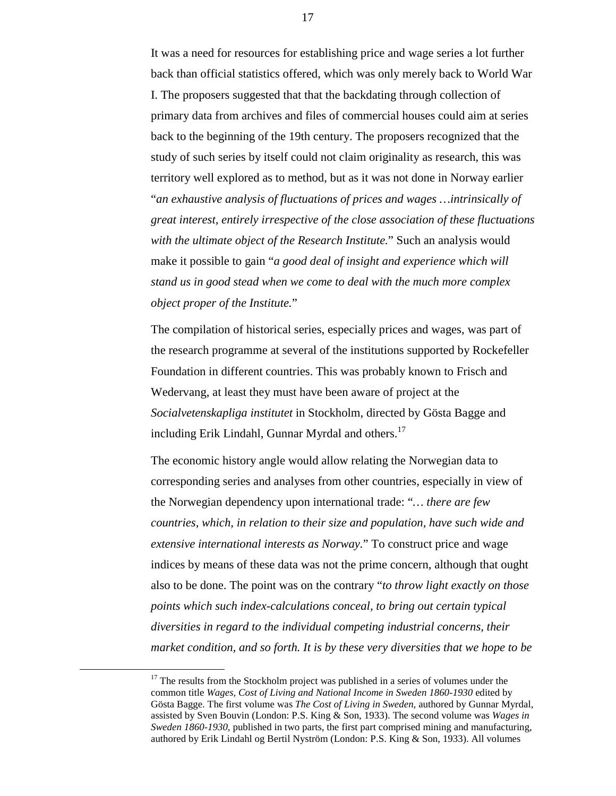It was a need for resources for establishing price and wage series a lot further back than official statistics offered, which was only merely back to World War I. The proposers suggested that that the backdating through collection of primary data from archives and files of commercial houses could aim at series back to the beginning of the 19th century. The proposers recognized that the study of such series by itself could not claim originality as research, this was territory well explored as to method, but as it was not done in Norway earlier "*an exhaustive analysis of fluctuations of prices and wages …intrinsically of great interest, entirely irrespective of the close association of these fluctuations with the ultimate object of the Research Institute.*" Such an analysis would make it possible to gain "*a good deal of insight and experience which will stand us in good stead when we come to deal with the much more complex object proper of the Institute.*"

The compilation of historical series, especially prices and wages, was part of the research programme at several of the institutions supported by Rockefeller Foundation in different countries. This was probably known to Frisch and Wedervang, at least they must have been aware of project at the *Socialvetenskapliga institutet* in Stockholm, directed by Gösta Bagge and including Erik Lindahl, Gunnar Myrdal and others.<sup>17</sup>

The economic history angle would allow relating the Norwegian data to corresponding series and analyses from other countries, especially in view of the Norwegian dependency upon international trade: "*… there are few countries, which, in relation to their size and population, have such wide and extensive international interests as Norway.*" To construct price and wage indices by means of these data was not the prime concern, although that ought also to be done. The point was on the contrary "*to throw light exactly on those points which such index-calculations conceal, to bring out certain typical diversities in regard to the individual competing industrial concerns, their market condition, and so forth. It is by these very diversities that we hope to be*

 $17$  The results from the Stockholm project was published in a series of volumes under the common title *Wages, Cost of Living and National Income in Sweden 1860-1930* edited by Gösta Bagge. The first volume was *The Cost of Living in Sweden*, authored by Gunnar Myrdal, assisted by Sven Bouvin (London: P.S. King & Son, 1933). The second volume was *Wages in Sweden 1860-1930*, published in two parts, the first part comprised mining and manufacturing, authored by Erik Lindahl og Bertil Nyström (London: P.S. King & Son, 1933). All volumes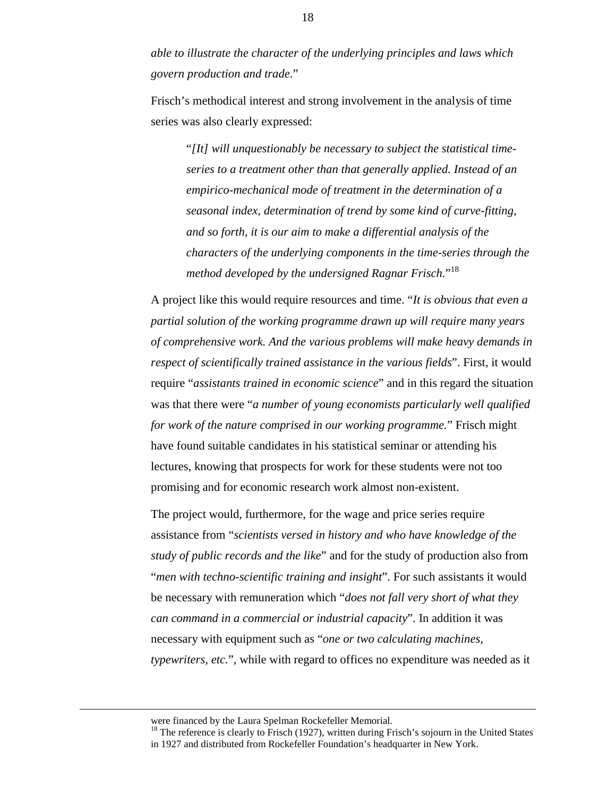*able to illustrate the character of the underlying principles and laws which govern production and trade.*"

Frisch's methodical interest and strong involvement in the analysis of time series was also clearly expressed:

"*[It] will unquestionably be necessary to subject the statistical timeseries to a treatment other than that generally applied. Instead of an empirico-mechanical mode of treatment in the determination of a seasonal index, determination of trend by some kind of curve-fitting, and so forth, it is our aim to make a differential analysis of the characters of the underlying components in the time-series through the method developed by the undersigned Ragnar Frisch.*" 18

A project like this would require resources and time. "*It is obvious that even a partial solution of the working programme drawn up will require many years of comprehensive work. And the various problems will make heavy demands in respect of scientifically trained assistance in the various fields*". First, it would require "*assistants trained in economic science*" and in this regard the situation was that there were "*a number of young economists particularly well qualified for work of the nature comprised in our working programme.*" Frisch might have found suitable candidates in his statistical seminar or attending his lectures, knowing that prospects for work for these students were not too promising and for economic research work almost non-existent.

The project would, furthermore, for the wage and price series require assistance from "*scientists versed in history and who have knowledge of the study of public records and the like*" and for the study of production also from "*men with techno-scientific training and insight*". For such assistants it would be necessary with remuneration which "*does not fall very short of what they can command in a commercial or industrial capacity*". In addition it was necessary with equipment such as "*one or two calculating machines, typewriters, etc.*", while with regard to offices no expenditure was needed as it

were financed by the Laura Spelman Rockefeller Memorial.

<sup>&</sup>lt;sup>18</sup> The reference is clearly to Frisch (1927), written during Frisch's sojourn in the United States in 1927 and distributed from Rockefeller Foundation's headquarter in New York.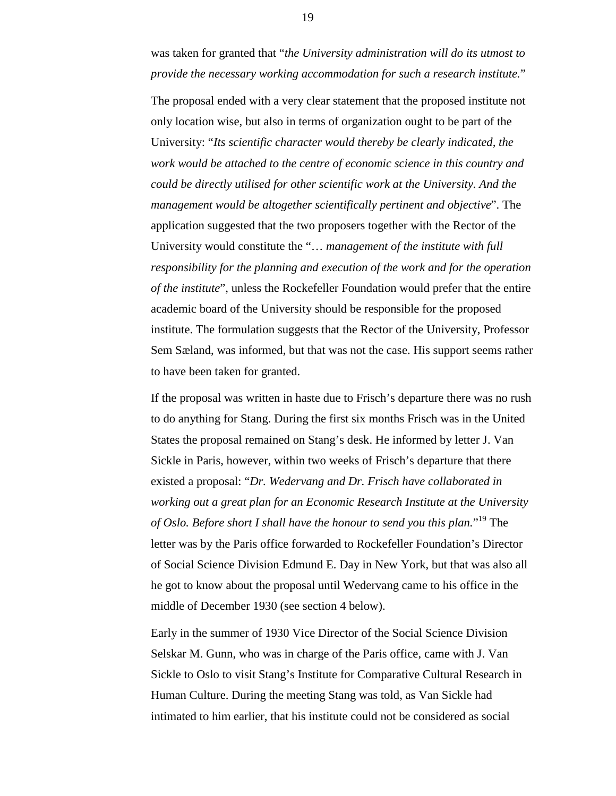was taken for granted that "*the University administration will do its utmost to provide the necessary working accommodation for such a research institute.*"

The proposal ended with a very clear statement that the proposed institute not only location wise, but also in terms of organization ought to be part of the University: "*Its scientific character would thereby be clearly indicated, the work would be attached to the centre of economic science in this country and could be directly utilised for other scientific work at the University. And the management would be altogether scientifically pertinent and objective*". The application suggested that the two proposers together with the Rector of the University would constitute the "… *management of the institute with full responsibility for the planning and execution of the work and for the operation of the institute*", unless the Rockefeller Foundation would prefer that the entire academic board of the University should be responsible for the proposed institute. The formulation suggests that the Rector of the University, Professor Sem Sæland, was informed, but that was not the case. His support seems rather to have been taken for granted.

If the proposal was written in haste due to Frisch's departure there was no rush to do anything for Stang. During the first six months Frisch was in the United States the proposal remained on Stang's desk. He informed by letter J. Van Sickle in Paris, however, within two weeks of Frisch's departure that there existed a proposal: "*Dr. Wedervang and Dr. Frisch have collaborated in working out a great plan for an Economic Research Institute at the University of Oslo. Before short I shall have the honour to send you this plan.*" 19 The letter was by the Paris office forwarded to Rockefeller Foundation's Director of Social Science Division Edmund E. Day in New York, but that was also all he got to know about the proposal until Wedervang came to his office in the middle of December 1930 (see section 4 below).

Early in the summer of 1930 Vice Director of the Social Science Division Selskar M. Gunn, who was in charge of the Paris office, came with J. Van Sickle to Oslo to visit Stang's Institute for Comparative Cultural Research in Human Culture. During the meeting Stang was told, as Van Sickle had intimated to him earlier, that his institute could not be considered as social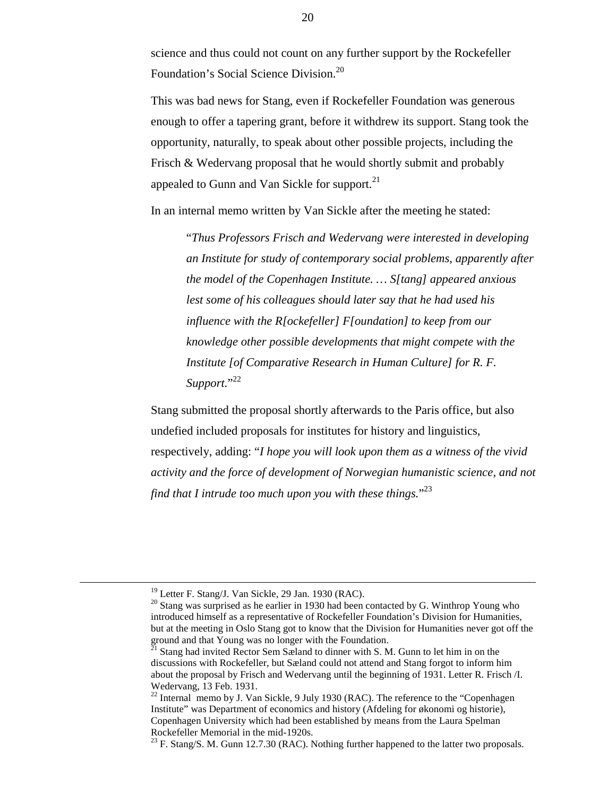science and thus could not count on any further support by the Rockefeller Foundation's Social Science Division.<sup>20</sup>

This was bad news for Stang, even if Rockefeller Foundation was generous enough to offer a tapering grant, before it withdrew its support. Stang took the opportunity, naturally, to speak about other possible projects, including the Frisch & Wedervang proposal that he would shortly submit and probably appealed to Gunn and Van Sickle for support. $^{21}$ 

In an internal memo written by Van Sickle after the meeting he stated:

"*Thus Professors Frisch and Wedervang were interested in developing an Institute for study of contemporary social problems, apparently after the model of the Copenhagen Institute. … S[tang] appeared anxious lest some of his colleagues should later say that he had used his influence with the R[ockefeller] F[oundation] to keep from our knowledge other possible developments that might compete with the Institute [of Comparative Research in Human Culture] for R. F. Support.*" 22

Stang submitted the proposal shortly afterwards to the Paris office, but also undefied included proposals for institutes for history and linguistics, respectively, adding: "*I hope you will look upon them as a witness of the vivid activity and the force of development of Norwegian humanistic science, and not find that I intrude too much upon you with these things.*" 23

 <sup>19</sup> Letter F. Stang/J. Van Sickle, 29 Jan. 1930 (RAC).

 $20$  Stang was surprised as he earlier in 1930 had been contacted by G. Winthrop Young who introduced himself as a representative of Rockefeller Foundation's Division for Humanities, but at the meeting in Oslo Stang got to know that the Division for Humanities never got off the ground and that Young was no longer with the Foundation.

 $21$  Stang had invited Rector Sem Sæland to dinner with S. M. Gunn to let him in on the discussions with Rockefeller, but Sæland could not attend and Stang forgot to inform him about the proposal by Frisch and Wedervang until the beginning of 1931. Letter R. Frisch /I. Wedervang, 13 Feb. 1931.

<sup>&</sup>lt;sup>22</sup> Internal memo by J. Van Sickle, 9 July 1930 (RAC). The reference to the "Copenhagen Institute" was Department of economics and history (Afdeling for økonomi og historie), Copenhagen University which had been established by means from the Laura Spelman Rockefeller Memorial in the mid-1920s.

<sup>&</sup>lt;sup>23</sup> F. Stang/S. M. Gunn 12.7.30 (RAC). Nothing further happened to the latter two proposals.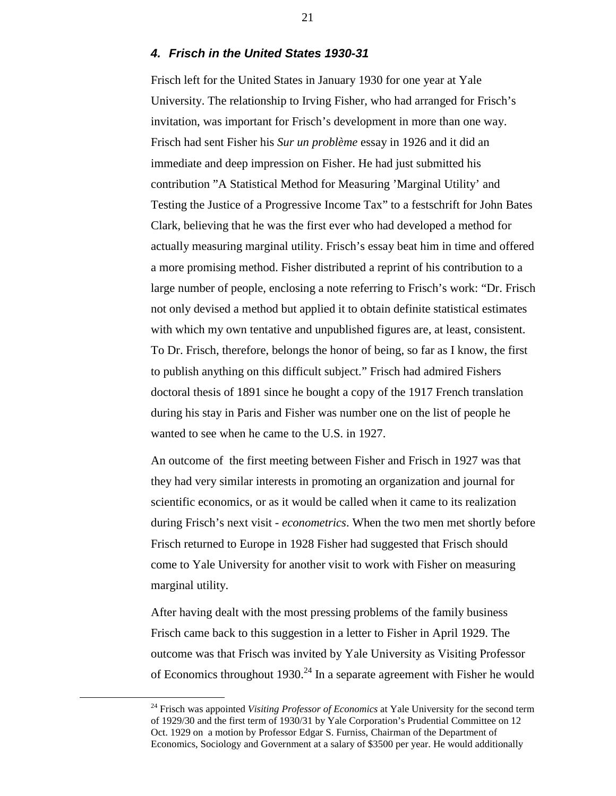#### *4. Frisch in the United States 1930-31*

Frisch left for the United States in January 1930 for one year at Yale University. The relationship to Irving Fisher, who had arranged for Frisch's invitation, was important for Frisch's development in more than one way. Frisch had sent Fisher his *Sur un problème* essay in 1926 and it did an immediate and deep impression on Fisher. He had just submitted his contribution "A Statistical Method for Measuring 'Marginal Utility' and Testing the Justice of a Progressive Income Tax" to a festschrift for John Bates Clark, believing that he was the first ever who had developed a method for actually measuring marginal utility. Frisch's essay beat him in time and offered a more promising method. Fisher distributed a reprint of his contribution to a large number of people, enclosing a note referring to Frisch's work: "Dr. Frisch not only devised a method but applied it to obtain definite statistical estimates with which my own tentative and unpublished figures are, at least, consistent. To Dr. Frisch, therefore, belongs the honor of being, so far as I know, the first to publish anything on this difficult subject." Frisch had admired Fishers doctoral thesis of 1891 since he bought a copy of the 1917 French translation during his stay in Paris and Fisher was number one on the list of people he wanted to see when he came to the U.S. in 1927.

An outcome of the first meeting between Fisher and Frisch in 1927 was that they had very similar interests in promoting an organization and journal for scientific economics, or as it would be called when it came to its realization during Frisch's next visit - *econometrics*. When the two men met shortly before Frisch returned to Europe in 1928 Fisher had suggested that Frisch should come to Yale University for another visit to work with Fisher on measuring marginal utility.

After having dealt with the most pressing problems of the family business Frisch came back to this suggestion in a letter to Fisher in April 1929. The outcome was that Frisch was invited by Yale University as Visiting Professor of Economics throughout  $1930.<sup>24</sup>$  In a separate agreement with Fisher he would

<sup>&</sup>lt;sup>24</sup> Frisch was appointed *Visiting Professor of Economics* at Yale University for the second term of 1929/30 and the first term of 1930/31 by Yale Corporation's Prudential Committee on 12 Oct. 1929 on a motion by Professor Edgar S. Furniss, Chairman of the Department of Economics, Sociology and Government at a salary of \$3500 per year. He would additionally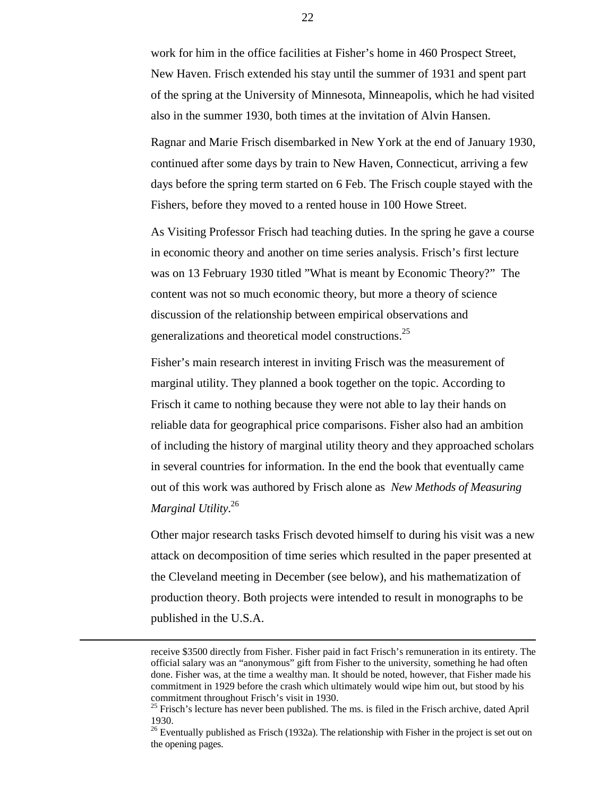work for him in the office facilities at Fisher's home in 460 Prospect Street, New Haven. Frisch extended his stay until the summer of 1931 and spent part of the spring at the University of Minnesota, Minneapolis, which he had visited also in the summer 1930, both times at the invitation of Alvin Hansen.

Ragnar and Marie Frisch disembarked in New York at the end of January 1930, continued after some days by train to New Haven, Connecticut, arriving a few days before the spring term started on 6 Feb. The Frisch couple stayed with the Fishers, before they moved to a rented house in 100 Howe Street.

As Visiting Professor Frisch had teaching duties. In the spring he gave a course in economic theory and another on time series analysis. Frisch's first lecture was on 13 February 1930 titled "What is meant by Economic Theory?" The content was not so much economic theory, but more a theory of science discussion of the relationship between empirical observations and generalizations and theoretical model constructions.<sup>25</sup>

Fisher's main research interest in inviting Frisch was the measurement of marginal utility. They planned a book together on the topic. According to Frisch it came to nothing because they were not able to lay their hands on reliable data for geographical price comparisons. Fisher also had an ambition of including the history of marginal utility theory and they approached scholars in several countries for information. In the end the book that eventually came out of this work was authored by Frisch alone as *New Methods of Measuring Marginal Utility*. 26

Other major research tasks Frisch devoted himself to during his visit was a new attack on decomposition of time series which resulted in the paper presented at the Cleveland meeting in December (see below), and his mathematization of production theory. Both projects were intended to result in monographs to be published in the U.S.A.

receive \$3500 directly from Fisher. Fisher paid in fact Frisch's remuneration in its entirety. The official salary was an "anonymous" gift from Fisher to the university, something he had often done. Fisher was, at the time a wealthy man. It should be noted, however, that Fisher made his commitment in 1929 before the crash which ultimately would wipe him out, but stood by his commitment throughout Frisch's visit in 1930.

 $25$  Frisch's lecture has never been published. The ms. is filed in the Frisch archive, dated April 1930.

 $26$  Eventually published as Frisch (1932a). The relationship with Fisher in the project is set out on the opening pages.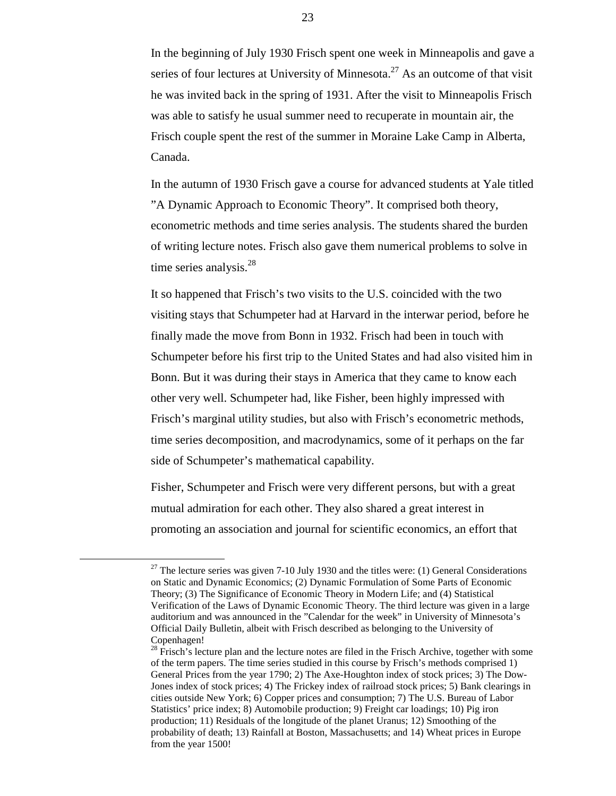In the beginning of July 1930 Frisch spent one week in Minneapolis and gave a series of four lectures at University of Minnesota.<sup>27</sup> As an outcome of that visit he was invited back in the spring of 1931. After the visit to Minneapolis Frisch was able to satisfy he usual summer need to recuperate in mountain air, the Frisch couple spent the rest of the summer in Moraine Lake Camp in Alberta, Canada.

In the autumn of 1930 Frisch gave a course for advanced students at Yale titled "A Dynamic Approach to Economic Theory". It comprised both theory, econometric methods and time series analysis. The students shared the burden of writing lecture notes. Frisch also gave them numerical problems to solve in time series analysis.<sup>28</sup>

It so happened that Frisch's two visits to the U.S. coincided with the two visiting stays that Schumpeter had at Harvard in the interwar period, before he finally made the move from Bonn in 1932. Frisch had been in touch with Schumpeter before his first trip to the United States and had also visited him in Bonn. But it was during their stays in America that they came to know each other very well. Schumpeter had, like Fisher, been highly impressed with Frisch's marginal utility studies, but also with Frisch's econometric methods, time series decomposition, and macrodynamics, some of it perhaps on the far side of Schumpeter's mathematical capability.

Fisher, Schumpeter and Frisch were very different persons, but with a great mutual admiration for each other. They also shared a great interest in promoting an association and journal for scientific economics, an effort that

 $27$  The lecture series was given 7-10 July 1930 and the titles were: (1) General Considerations on Static and Dynamic Economics; (2) Dynamic Formulation of Some Parts of Economic Theory; (3) The Significance of Economic Theory in Modern Life; and (4) Statistical Verification of the Laws of Dynamic Economic Theory. The third lecture was given in a large auditorium and was announced in the "Calendar for the week" in University of Minnesota's Official Daily Bulletin, albeit with Frisch described as belonging to the University of Copenhagen!

 $28$  Frisch's lecture plan and the lecture notes are filed in the Frisch Archive, together with some of the term papers. The time series studied in this course by Frisch's methods comprised 1) General Prices from the year 1790; 2) The Axe-Houghton index of stock prices; 3) The Dow-Jones index of stock prices; 4) The Frickey index of railroad stock prices; 5) Bank clearings in cities outside New York; 6) Copper prices and consumption; 7) The U.S. Bureau of Labor Statistics' price index; 8) Automobile production; 9) Freight car loadings; 10) Pig iron production; 11) Residuals of the longitude of the planet Uranus; 12) Smoothing of the probability of death; 13) Rainfall at Boston, Massachusetts; and 14) Wheat prices in Europe from the year 1500!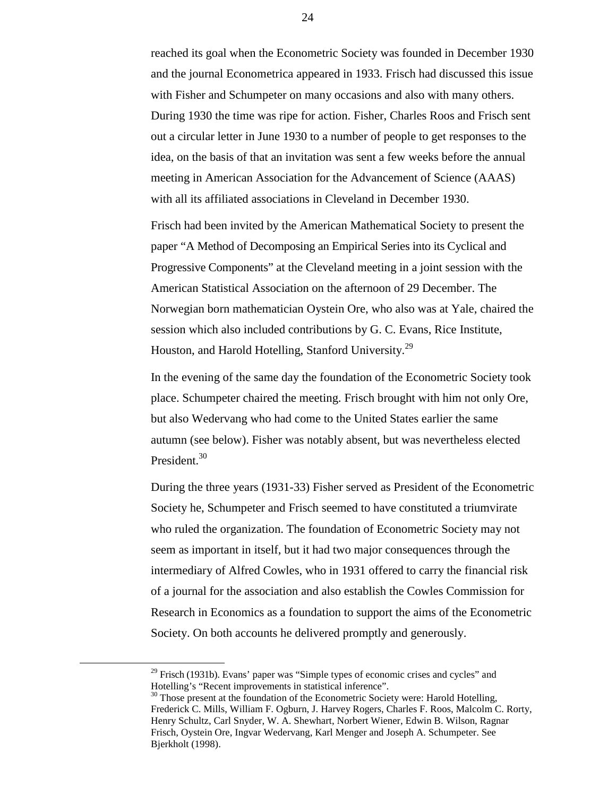reached its goal when the Econometric Society was founded in December 1930 and the journal Econometrica appeared in 1933. Frisch had discussed this issue with Fisher and Schumpeter on many occasions and also with many others. During 1930 the time was ripe for action. Fisher, Charles Roos and Frisch sent out a circular letter in June 1930 to a number of people to get responses to the idea, on the basis of that an invitation was sent a few weeks before the annual meeting in American Association for the Advancement of Science (AAAS) with all its affiliated associations in Cleveland in December 1930.

Frisch had been invited by the American Mathematical Society to present the paper "A Method of Decomposing an Empirical Series into its Cyclical and Progressive Components" at the Cleveland meeting in a joint session with the American Statistical Association on the afternoon of 29 December. The Norwegian born mathematician Oystein Ore, who also was at Yale, chaired the session which also included contributions by G. C. Evans, Rice Institute, Houston, and Harold Hotelling, Stanford University.<sup>29</sup>

In the evening of the same day the foundation of the Econometric Society took place. Schumpeter chaired the meeting. Frisch brought with him not only Ore, but also Wedervang who had come to the United States earlier the same autumn (see below). Fisher was notably absent, but was nevertheless elected President.<sup>30</sup>

During the three years (1931-33) Fisher served as President of the Econometric Society he, Schumpeter and Frisch seemed to have constituted a triumvirate who ruled the organization. The foundation of Econometric Society may not seem as important in itself, but it had two major consequences through the intermediary of Alfred Cowles, who in 1931 offered to carry the financial risk of a journal for the association and also establish the Cowles Commission for Research in Economics as a foundation to support the aims of the Econometric Society. On both accounts he delivered promptly and generously.

 $29$  Frisch (1931b). Evans' paper was "Simple types of economic crises and cycles" and Hotelling's "Recent improvements in statistical inference".

<sup>&</sup>lt;sup>30</sup> Those present at the foundation of the Econometric Society were: Harold Hotelling, Frederick C. Mills, William F. Ogburn, J. Harvey Rogers, Charles F. Roos, Malcolm C. Rorty, Henry Schultz, Carl Snyder, W. A. Shewhart, Norbert Wiener, Edwin B. Wilson, Ragnar Frisch, Oystein Ore, Ingvar Wedervang, Karl Menger and Joseph A. Schumpeter. See Bjerkholt (1998).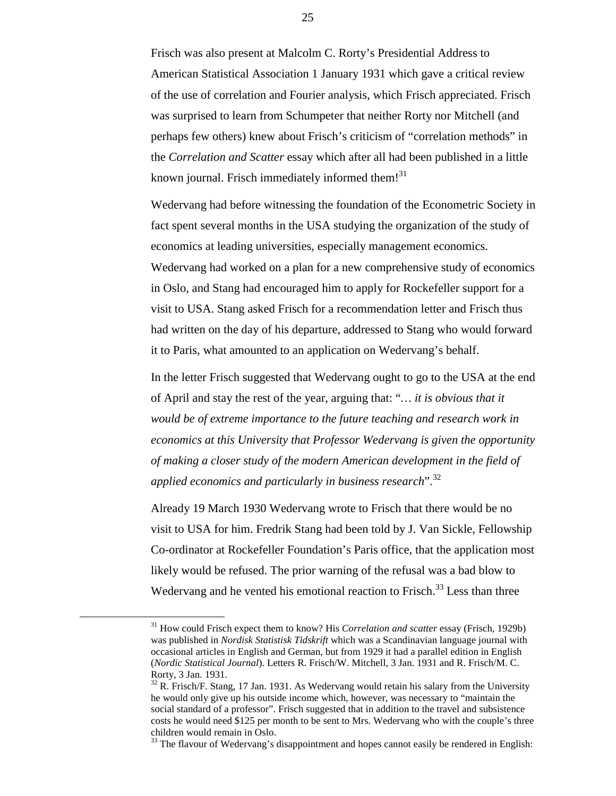Frisch was also present at Malcolm C. Rorty's Presidential Address to American Statistical Association 1 January 1931 which gave a critical review of the use of correlation and Fourier analysis, which Frisch appreciated. Frisch was surprised to learn from Schumpeter that neither Rorty nor Mitchell (and perhaps few others) knew about Frisch's criticism of "correlation methods" in the *Correlation and Scatter* essay which after all had been published in a little known journal. Frisch immediately informed them! $31$ 

Wedervang had before witnessing the foundation of the Econometric Society in fact spent several months in the USA studying the organization of the study of economics at leading universities, especially management economics. Wedervang had worked on a plan for a new comprehensive study of economics in Oslo, and Stang had encouraged him to apply for Rockefeller support for a visit to USA. Stang asked Frisch for a recommendation letter and Frisch thus had written on the day of his departure, addressed to Stang who would forward it to Paris, what amounted to an application on Wedervang's behalf.

In the letter Frisch suggested that Wedervang ought to go to the USA at the end of April and stay the rest of the year, arguing that: "*… it is obvious that it would be of extreme importance to the future teaching and research work in economics at this University that Professor Wedervang is given the opportunity of making a closer study of the modern American development in the field of applied economics and particularly in business research*".<sup>32</sup>

Already 19 March 1930 Wedervang wrote to Frisch that there would be no visit to USA for him. Fredrik Stang had been told by J. Van Sickle, Fellowship Co-ordinator at Rockefeller Foundation's Paris office, that the application most likely would be refused. The prior warning of the refusal was a bad blow to Wedervang and he vented his emotional reaction to Frisch.<sup>33</sup> Less than three

 <sup>31</sup> How could Frisch expect them to know? His *Correlation and scatter* essay (Frisch, 1929b) was published in *Nordisk Statistisk Tidskrift* which was a Scandinavian language journal with occasional articles in English and German, but from 1929 it had a parallel edition in English (*Nordic Statistical Journal*). Letters R. Frisch/W. Mitchell, 3 Jan. 1931 and R. Frisch/M. C. Rorty, 3 Jan. 1931.

 $32$  R. Frisch/F. Stang, 17 Jan. 1931. As Wedervang would retain his salary from the University he would only give up his outside income which, however, was necessary to "maintain the social standard of a professor". Frisch suggested that in addition to the travel and subsistence costs he would need \$125 per month to be sent to Mrs. Wedervang who with the couple's three children would remain in Oslo.

<sup>&</sup>lt;sup>33</sup> The flavour of Wedervang's disappointment and hopes cannot easily be rendered in English: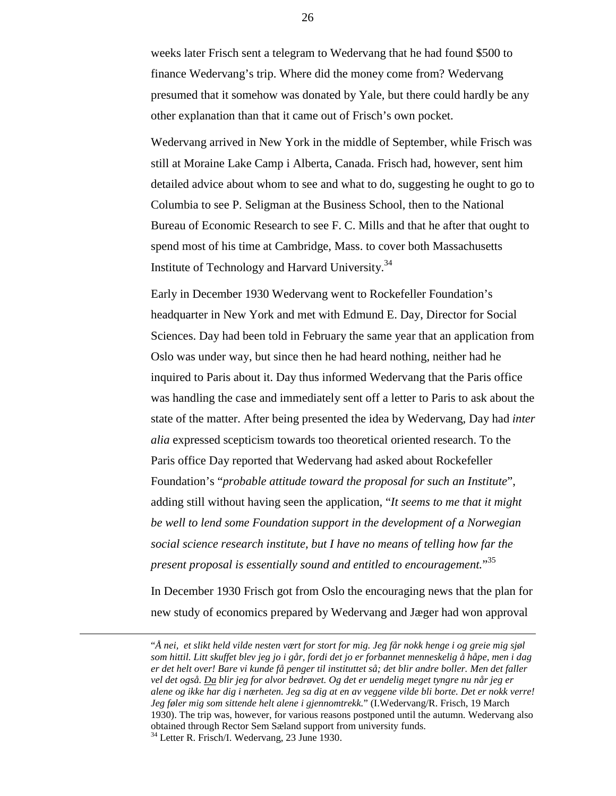weeks later Frisch sent a telegram to Wedervang that he had found \$500 to finance Wedervang's trip. Where did the money come from? Wedervang presumed that it somehow was donated by Yale, but there could hardly be any other explanation than that it came out of Frisch's own pocket.

Wedervang arrived in New York in the middle of September, while Frisch was still at Moraine Lake Camp i Alberta, Canada. Frisch had, however, sent him detailed advice about whom to see and what to do, suggesting he ought to go to Columbia to see P. Seligman at the Business School, then to the National Bureau of Economic Research to see F. C. Mills and that he after that ought to spend most of his time at Cambridge, Mass. to cover both Massachusetts Institute of Technology and Harvard University.<sup>34</sup>

Early in December 1930 Wedervang went to Rockefeller Foundation's headquarter in New York and met with Edmund E. Day, Director for Social Sciences. Day had been told in February the same year that an application from Oslo was under way, but since then he had heard nothing, neither had he inquired to Paris about it. Day thus informed Wedervang that the Paris office was handling the case and immediately sent off a letter to Paris to ask about the state of the matter. After being presented the idea by Wedervang, Day had *inter alia* expressed scepticism towards too theoretical oriented research. To the Paris office Day reported that Wedervang had asked about Rockefeller Foundation's "*probable attitude toward the proposal for such an Institute*", adding still without having seen the application, "*It seems to me that it might be well to lend some Foundation support in the development of a Norwegian social science research institute, but I have no means of telling how far the present proposal is essentially sound and entitled to encouragement.*" 35

In December 1930 Frisch got from Oslo the encouraging news that the plan for new study of economics prepared by Wedervang and Jæger had won approval

 <sup>&</sup>quot;*Å nei, et slikt held vilde nesten vært for stort for mig. Jeg får nokk henge i og greie mig sjøl som hittil. Litt skuffet blev jeg jo i går, fordi det jo er forbannet menneskelig å håpe, men i dag er det helt over! Bare vi kunde få penger til instituttet så; det blir andre boller. Men det faller vel det også. Da blir jeg for alvor bedrøvet. Og det er uendelig meget tyngre nu når jeg er alene og ikke har dig i nærheten. Jeg sa dig at en av veggene vilde bli borte. Det er nokk verre! Jeg føler mig som sittende helt alene i gjennomtrekk.*" (I.Wedervang/R. Frisch, 19 March 1930). The trip was, however, for various reasons postponed until the autumn. Wedervang also obtained through Rector Sem Sæland support from university funds. 34 Letter R. Frisch/I. Wedervang, 23 June 1930.

<sup>26</sup>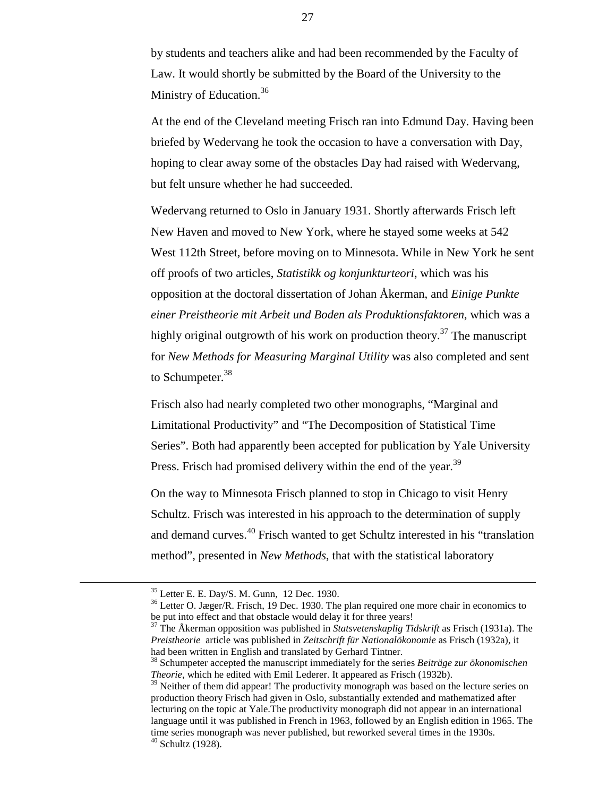by students and teachers alike and had been recommended by the Faculty of Law. It would shortly be submitted by the Board of the University to the Ministry of Education.<sup>36</sup>

At the end of the Cleveland meeting Frisch ran into Edmund Day. Having been briefed by Wedervang he took the occasion to have a conversation with Day, hoping to clear away some of the obstacles Day had raised with Wedervang, but felt unsure whether he had succeeded.

Wedervang returned to Oslo in January 1931. Shortly afterwards Frisch left New Haven and moved to New York, where he stayed some weeks at 542 West 112th Street, before moving on to Minnesota. While in New York he sent off proofs of two articles, *Statistikk og konjunkturteori*, which was his opposition at the doctoral dissertation of Johan Åkerman, and *Einige Punkte einer Preistheorie mit Arbeit und Boden als Produktionsfaktoren*, which was a highly original outgrowth of his work on production theory.<sup>37</sup> The manuscript for *New Methods for Measuring Marginal Utility* was also completed and sent to Schumpeter.<sup>38</sup>

Frisch also had nearly completed two other monographs, "Marginal and Limitational Productivity" and "The Decomposition of Statistical Time Series". Both had apparently been accepted for publication by Yale University Press. Frisch had promised delivery within the end of the year.<sup>39</sup>

On the way to Minnesota Frisch planned to stop in Chicago to visit Henry Schultz. Frisch was interested in his approach to the determination of supply and demand curves.40 Frisch wanted to get Schultz interested in his "translation method", presented in *New Methods*, that with the statistical laboratory

 <sup>35</sup> Letter E. E. Day/S. M. Gunn, 12 Dec. 1930.

<sup>&</sup>lt;sup>36</sup> Letter O. Jæger/R. Frisch, 19 Dec. 1930. The plan required one more chair in economics to be put into effect and that obstacle would delay it for three years!

<sup>37</sup> The Åkerman opposition was published in *Statsvetenskaplig Tidskrift* as Frisch (1931a). The *Preistheorie* article was published in *Zeitschrift für Nationalökonomie* as Frisch (1932a), it had been written in English and translated by Gerhard Tintner.

<sup>38</sup> Schumpeter accepted the manuscript immediately for the series *Beiträge zur ökonomischen Theorie*, which he edited with Emil Lederer. It appeared as Frisch (1932b).

 $39$  Neither of them did appear! The productivity monograph was based on the lecture series on production theory Frisch had given in Oslo, substantially extended and mathematized after lecturing on the topic at Yale.The productivity monograph did not appear in an international language until it was published in French in 1963, followed by an English edition in 1965. The time series monograph was never published, but reworked several times in the 1930s.  $40$  Schultz (1928).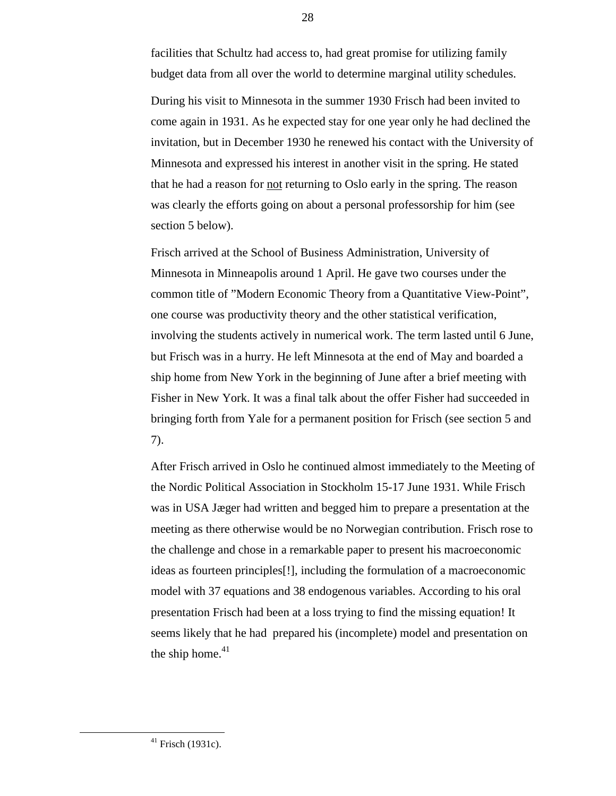facilities that Schultz had access to, had great promise for utilizing family budget data from all over the world to determine marginal utility schedules.

During his visit to Minnesota in the summer 1930 Frisch had been invited to come again in 1931. As he expected stay for one year only he had declined the invitation, but in December 1930 he renewed his contact with the University of Minnesota and expressed his interest in another visit in the spring. He stated that he had a reason for not returning to Oslo early in the spring. The reason was clearly the efforts going on about a personal professorship for him (see section 5 below).

Frisch arrived at the School of Business Administration, University of Minnesota in Minneapolis around 1 April. He gave two courses under the common title of "Modern Economic Theory from a Quantitative View-Point", one course was productivity theory and the other statistical verification, involving the students actively in numerical work. The term lasted until 6 June, but Frisch was in a hurry. He left Minnesota at the end of May and boarded a ship home from New York in the beginning of June after a brief meeting with Fisher in New York. It was a final talk about the offer Fisher had succeeded in bringing forth from Yale for a permanent position for Frisch (see section 5 and 7).

After Frisch arrived in Oslo he continued almost immediately to the Meeting of the Nordic Political Association in Stockholm 15-17 June 1931. While Frisch was in USA Jæger had written and begged him to prepare a presentation at the meeting as there otherwise would be no Norwegian contribution. Frisch rose to the challenge and chose in a remarkable paper to present his macroeconomic ideas as fourteen principles[!], including the formulation of a macroeconomic model with 37 equations and 38 endogenous variables. According to his oral presentation Frisch had been at a loss trying to find the missing equation! It seems likely that he had prepared his (incomplete) model and presentation on the ship home. $41$ 

 $41$  Frisch (1931c).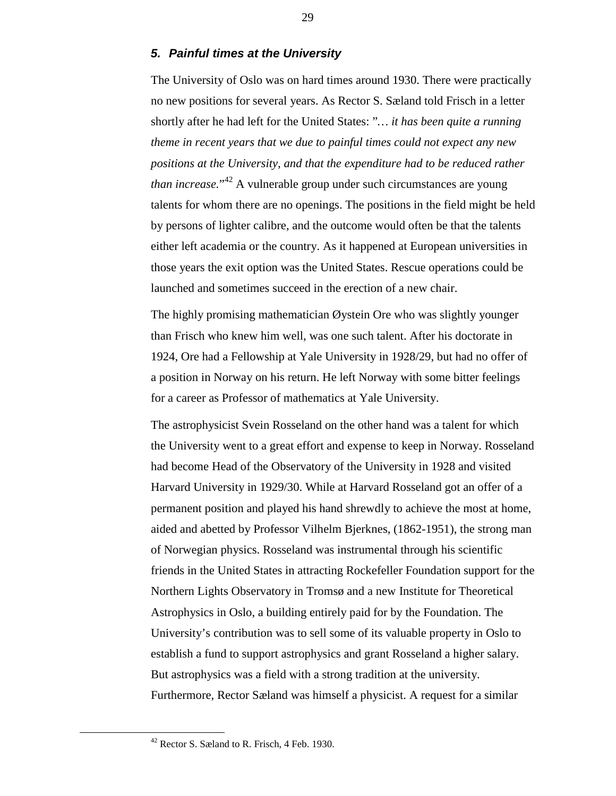#### *5. Painful times at the University*

The University of Oslo was on hard times around 1930. There were practically no new positions for several years. As Rector S. Sæland told Frisch in a letter shortly after he had left for the United States: "*… it has been quite a running theme in recent years that we due to painful times could not expect any new positions at the University, and that the expenditure had to be reduced rather than increase.*" 42 A vulnerable group under such circumstances are young talents for whom there are no openings. The positions in the field might be held by persons of lighter calibre, and the outcome would often be that the talents either left academia or the country. As it happened at European universities in those years the exit option was the United States. Rescue operations could be launched and sometimes succeed in the erection of a new chair.

The highly promising mathematician Øystein Ore who was slightly younger than Frisch who knew him well, was one such talent. After his doctorate in 1924, Ore had a Fellowship at Yale University in 1928/29, but had no offer of a position in Norway on his return. He left Norway with some bitter feelings for a career as Professor of mathematics at Yale University.

The astrophysicist Svein Rosseland on the other hand was a talent for which the University went to a great effort and expense to keep in Norway. Rosseland had become Head of the Observatory of the University in 1928 and visited Harvard University in 1929/30. While at Harvard Rosseland got an offer of a permanent position and played his hand shrewdly to achieve the most at home, aided and abetted by Professor Vilhelm Bjerknes, (1862-1951), the strong man of Norwegian physics. Rosseland was instrumental through his scientific friends in the United States in attracting Rockefeller Foundation support for the Northern Lights Observatory in Tromsø and a new Institute for Theoretical Astrophysics in Oslo, a building entirely paid for by the Foundation. The University's contribution was to sell some of its valuable property in Oslo to establish a fund to support astrophysics and grant Rosseland a higher salary. But astrophysics was a field with a strong tradition at the university. Furthermore, Rector Sæland was himself a physicist. A request for a similar

 <sup>42</sup> Rector S. Sæland to R. Frisch, 4 Feb. 1930.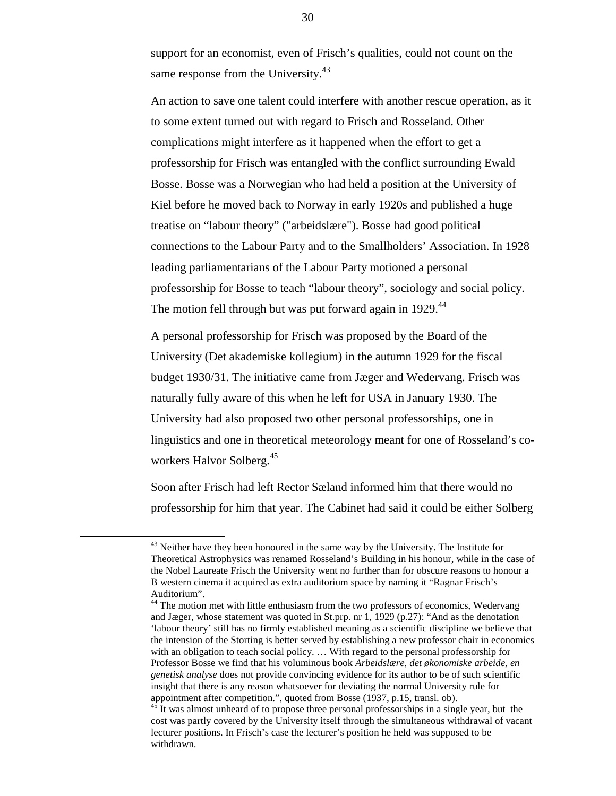support for an economist, even of Frisch's qualities, could not count on the same response from the University.<sup>43</sup>

An action to save one talent could interfere with another rescue operation, as it to some extent turned out with regard to Frisch and Rosseland. Other complications might interfere as it happened when the effort to get a professorship for Frisch was entangled with the conflict surrounding Ewald Bosse. Bosse was a Norwegian who had held a position at the University of Kiel before he moved back to Norway in early 1920s and published a huge treatise on "labour theory" ("arbeidslære"). Bosse had good political connections to the Labour Party and to the Smallholders' Association. In 1928 leading parliamentarians of the Labour Party motioned a personal professorship for Bosse to teach "labour theory", sociology and social policy. The motion fell through but was put forward again in 1929.<sup>44</sup>

A personal professorship for Frisch was proposed by the Board of the University (Det akademiske kollegium) in the autumn 1929 for the fiscal budget 1930/31. The initiative came from Jæger and Wedervang. Frisch was naturally fully aware of this when he left for USA in January 1930. The University had also proposed two other personal professorships, one in linguistics and one in theoretical meteorology meant for one of Rosseland's coworkers Halvor Solberg.<sup>45</sup>

Soon after Frisch had left Rector Sæland informed him that there would no professorship for him that year. The Cabinet had said it could be either Solberg

 $43$  Neither have they been honoured in the same way by the University. The Institute for Theoretical Astrophysics was renamed Rosseland's Building in his honour, while in the case of the Nobel Laureate Frisch the University went no further than for obscure reasons to honour a B western cinema it acquired as extra auditorium space by naming it "Ragnar Frisch's Auditorium".

<sup>&</sup>lt;sup>44</sup> The motion met with little enthusiasm from the two professors of economics, Wedervang and Jæger, whose statement was quoted in St.prp. nr 1, 1929 (p.27): "And as the denotation 'labour theory' still has no firmly established meaning as a scientific discipline we believe that the intension of the Storting is better served by establishing a new professor chair in economics with an obligation to teach social policy. … With regard to the personal professorship for Professor Bosse we find that his voluminous book *Arbeidslære, det økonomiske arbeide, en genetisk analyse* does not provide convincing evidence for its author to be of such scientific insight that there is any reason whatsoever for deviating the normal University rule for appointment after competition.", quoted from Bosse (1937, p.15, transl. ob).

It was almost unheard of to propose three personal professorships in a single year, but the cost was partly covered by the University itself through the simultaneous withdrawal of vacant lecturer positions. In Frisch's case the lecturer's position he held was supposed to be withdrawn.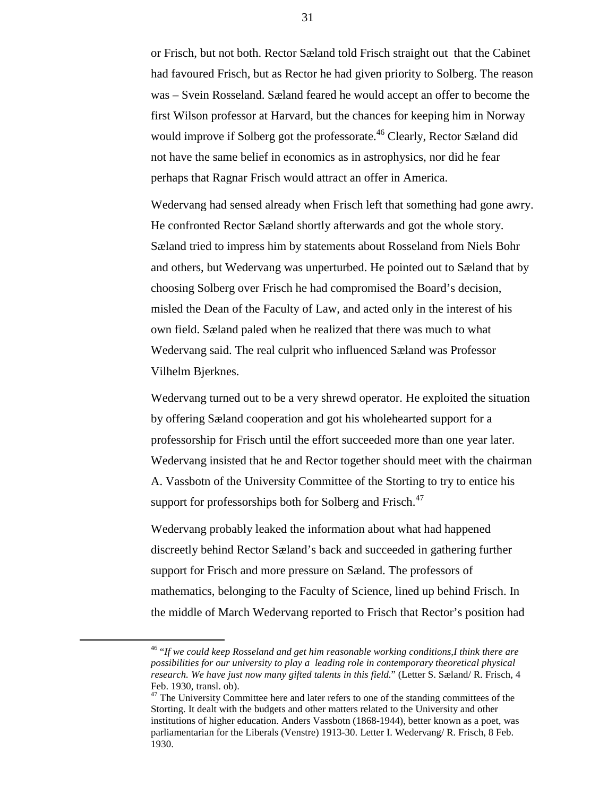or Frisch, but not both. Rector Sæland told Frisch straight out that the Cabinet had favoured Frisch, but as Rector he had given priority to Solberg. The reason was – Svein Rosseland. Sæland feared he would accept an offer to become the first Wilson professor at Harvard, but the chances for keeping him in Norway would improve if Solberg got the professorate.<sup>46</sup> Clearly, Rector Sæland did not have the same belief in economics as in astrophysics, nor did he fear perhaps that Ragnar Frisch would attract an offer in America.

Wedervang had sensed already when Frisch left that something had gone awry. He confronted Rector Sæland shortly afterwards and got the whole story. Sæland tried to impress him by statements about Rosseland from Niels Bohr and others, but Wedervang was unperturbed. He pointed out to Sæland that by choosing Solberg over Frisch he had compromised the Board's decision, misled the Dean of the Faculty of Law, and acted only in the interest of his own field. Sæland paled when he realized that there was much to what Wedervang said. The real culprit who influenced Sæland was Professor Vilhelm Bjerknes.

Wedervang turned out to be a very shrewd operator. He exploited the situation by offering Sæland cooperation and got his wholehearted support for a professorship for Frisch until the effort succeeded more than one year later. Wedervang insisted that he and Rector together should meet with the chairman A. Vassbotn of the University Committee of the Storting to try to entice his support for professorships both for Solberg and Frisch.<sup>47</sup>

Wedervang probably leaked the information about what had happened discreetly behind Rector Sæland's back and succeeded in gathering further support for Frisch and more pressure on Sæland. The professors of mathematics, belonging to the Faculty of Science, lined up behind Frisch. In the middle of March Wedervang reported to Frisch that Rector's position had

 <sup>46 &</sup>quot;*If we could keep Rosseland and get him reasonable working conditions,I think there are possibilities for our university to play a leading role in contemporary theoretical physical research. We have just now many gifted talents in this field.*" (Letter S. Sæland/ R. Frisch, 4 Feb. 1930, transl. ob).

<sup>&</sup>lt;sup>47</sup> The University Committee here and later refers to one of the standing committees of the Storting. It dealt with the budgets and other matters related to the University and other institutions of higher education. Anders Vassbotn (1868-1944), better known as a poet, was parliamentarian for the Liberals (Venstre) 1913-30. Letter I. Wedervang/ R. Frisch, 8 Feb. 1930.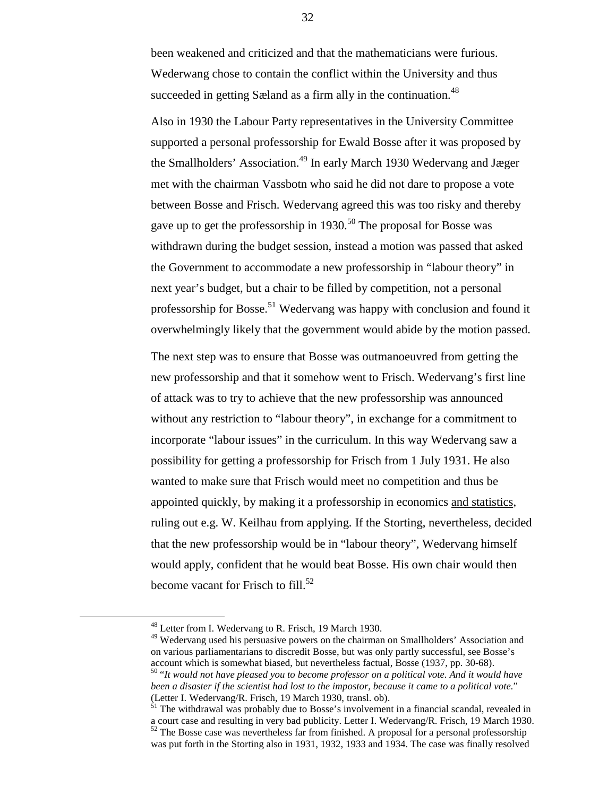been weakened and criticized and that the mathematicians were furious. Wederwang chose to contain the conflict within the University and thus succeeded in getting Sæland as a firm ally in the continuation.<sup>48</sup>

Also in 1930 the Labour Party representatives in the University Committee supported a personal professorship for Ewald Bosse after it was proposed by the Smallholders' Association.<sup>49</sup> In early March 1930 Wedervang and Jæger met with the chairman Vassbotn who said he did not dare to propose a vote between Bosse and Frisch. Wedervang agreed this was too risky and thereby gave up to get the professorship in 1930.<sup>50</sup> The proposal for Bosse was withdrawn during the budget session, instead a motion was passed that asked the Government to accommodate a new professorship in "labour theory" in next year's budget, but a chair to be filled by competition, not a personal professorship for Bosse.<sup>51</sup> Wedervang was happy with conclusion and found it overwhelmingly likely that the government would abide by the motion passed.

The next step was to ensure that Bosse was outmanoeuvred from getting the new professorship and that it somehow went to Frisch. Wedervang's first line of attack was to try to achieve that the new professorship was announced without any restriction to "labour theory", in exchange for a commitment to incorporate "labour issues" in the curriculum. In this way Wedervang saw a possibility for getting a professorship for Frisch from 1 July 1931. He also wanted to make sure that Frisch would meet no competition and thus be appointed quickly, by making it a professorship in economics and statistics, ruling out e.g. W. Keilhau from applying. If the Storting, nevertheless, decided that the new professorship would be in "labour theory", Wedervang himself would apply, confident that he would beat Bosse. His own chair would then become vacant for Frisch to  $fill.^{52}$ 

 <sup>48</sup> Letter from I. Wedervang to R. Frisch, 19 March 1930.

<sup>&</sup>lt;sup>49</sup> Wedervang used his persuasive powers on the chairman on Smallholders' Association and on various parliamentarians to discredit Bosse, but was only partly successful, see Bosse's account which is somewhat biased, but nevertheless factual, Bosse (1937, pp. 30-68).

<sup>50 &</sup>quot;*It would not have pleased you to become professor on a political vote. And it would have been a disaster if the scientist had lost to the impostor, because it came to a political vote.*" (Letter I. Wedervang/R. Frisch, 19 March 1930, transl. ob).

 $51$  The withdrawal was probably due to Bosse's involvement in a financial scandal, revealed in a court case and resulting in very bad publicity. Letter I. Wedervang/R. Frisch, 19 March 1930.  $52$  The Bosse case was nevertheless far from finished. A proposal for a personal professorship

was put forth in the Storting also in 1931, 1932, 1933 and 1934. The case was finally resolved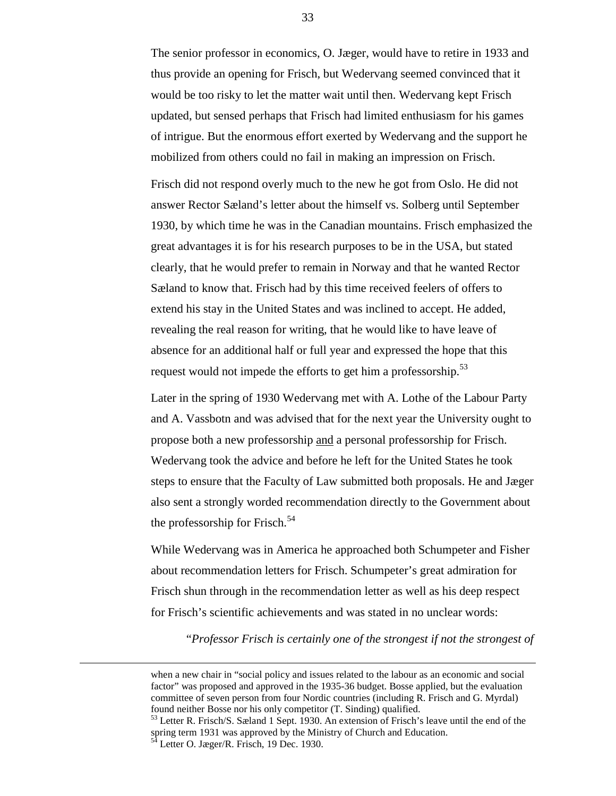The senior professor in economics, O. Jæger, would have to retire in 1933 and thus provide an opening for Frisch, but Wedervang seemed convinced that it would be too risky to let the matter wait until then. Wedervang kept Frisch updated, but sensed perhaps that Frisch had limited enthusiasm for his games of intrigue. But the enormous effort exerted by Wedervang and the support he mobilized from others could no fail in making an impression on Frisch.

Frisch did not respond overly much to the new he got from Oslo. He did not answer Rector Sæland's letter about the himself vs. Solberg until September 1930, by which time he was in the Canadian mountains. Frisch emphasized the great advantages it is for his research purposes to be in the USA, but stated clearly, that he would prefer to remain in Norway and that he wanted Rector Sæland to know that. Frisch had by this time received feelers of offers to extend his stay in the United States and was inclined to accept. He added, revealing the real reason for writing, that he would like to have leave of absence for an additional half or full year and expressed the hope that this request would not impede the efforts to get him a professorship.<sup>53</sup>

Later in the spring of 1930 Wedervang met with A. Lothe of the Labour Party and A. Vassbotn and was advised that for the next year the University ought to propose both a new professorship and a personal professorship for Frisch. Wedervang took the advice and before he left for the United States he took steps to ensure that the Faculty of Law submitted both proposals. He and Jæger also sent a strongly worded recommendation directly to the Government about the professorship for Frisch. $54$ 

While Wedervang was in America he approached both Schumpeter and Fisher about recommendation letters for Frisch. Schumpeter's great admiration for Frisch shun through in the recommendation letter as well as his deep respect for Frisch's scientific achievements and was stated in no unclear words:

"*Professor Frisch is certainly one of the strongest if not the strongest of*

when a new chair in "social policy and issues related to the labour as an economic and social factor" was proposed and approved in the 1935-36 budget. Bosse applied, but the evaluation committee of seven person from four Nordic countries (including R. Frisch and G. Myrdal) found neither Bosse nor his only competitor (T. Sinding) qualified.

<sup>&</sup>lt;sup>53</sup> Letter R. Frisch/S. Sæland 1 Sept. 1930. An extension of Frisch's leave until the end of the spring term 1931 was approved by the Ministry of Church and Education. Letter O. Jæger/R. Frisch, 19 Dec. 1930.

<sup>33</sup>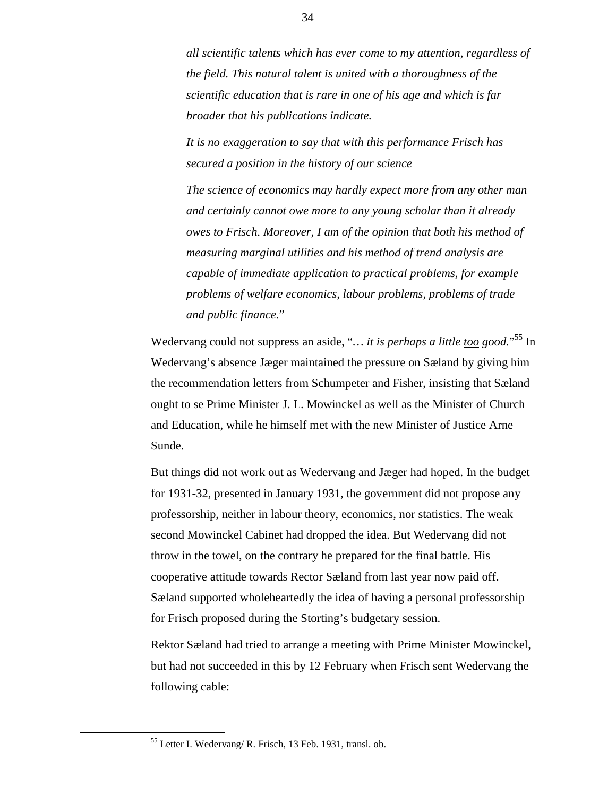*all scientific talents which has ever come to my attention, regardless of the field. This natural talent is united with a thoroughness of the scientific education that is rare in one of his age and which is far broader that his publications indicate.*

*It is no exaggeration to say that with this performance Frisch has secured a position in the history of our science*

*The science of economics may hardly expect more from any other man and certainly cannot owe more to any young scholar than it already owes to Frisch. Moreover, I am of the opinion that both his method of measuring marginal utilities and his method of trend analysis are capable of immediate application to practical problems, for example problems of welfare economics, labour problems, problems of trade and public finance.*"

Wedervang could not suppress an aside, "... it is *perhaps a little too good*."<sup>55</sup> In Wedervang's absence Jæger maintained the pressure on Sæland by giving him the recommendation letters from Schumpeter and Fisher, insisting that Sæland ought to se Prime Minister J. L. Mowinckel as well as the Minister of Church and Education, while he himself met with the new Minister of Justice Arne Sunde.

But things did not work out as Wedervang and Jæger had hoped. In the budget for 1931-32, presented in January 1931, the government did not propose any professorship, neither in labour theory, economics, nor statistics. The weak second Mowinckel Cabinet had dropped the idea. But Wedervang did not throw in the towel, on the contrary he prepared for the final battle. His cooperative attitude towards Rector Sæland from last year now paid off. Sæland supported wholeheartedly the idea of having a personal professorship for Frisch proposed during the Storting's budgetary session.

Rektor Sæland had tried to arrange a meeting with Prime Minister Mowinckel, but had not succeeded in this by 12 February when Frisch sent Wedervang the following cable:

 <sup>55</sup> Letter I. Wedervang/ R. Frisch, 13 Feb. 1931, transl. ob.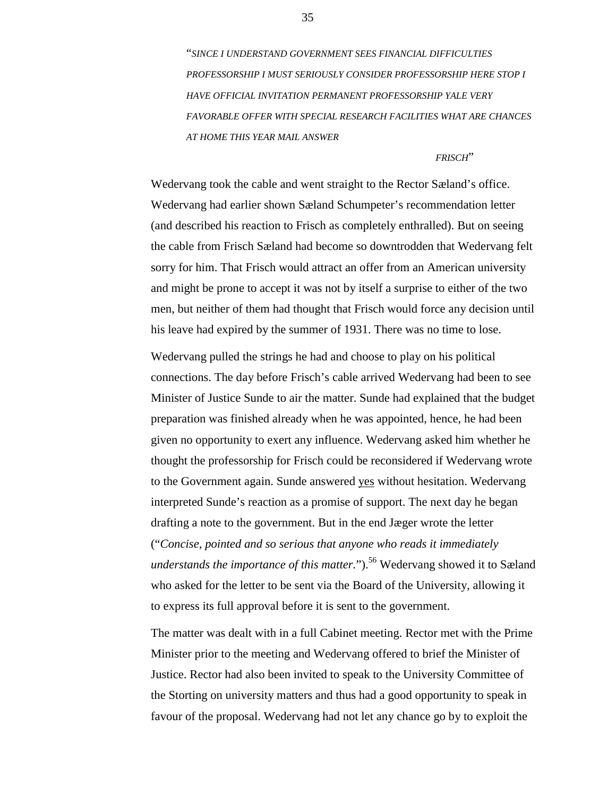"*SINCE I UNDERSTAND GOVERNMENT SEES FINANCIAL DIFFICULTIES PROFESSORSHIP I MUST SERIOUSLY CONSIDER PROFESSORSHIP HERE STOP I HAVE OFFICIAL INVITATION PERMANENT PROFESSORSHIP YALE VERY FAVORABLE OFFER WITH SPECIAL RESEARCH FACILITIES WHAT ARE CHANCES AT HOME THIS YEAR MAIL ANSWER*

#### *FRISCH*"

Wedervang took the cable and went straight to the Rector Sæland's office. Wedervang had earlier shown Sæland Schumpeter's recommendation letter (and described his reaction to Frisch as completely enthralled). But on seeing the cable from Frisch Sæland had become so downtrodden that Wedervang felt sorry for him. That Frisch would attract an offer from an American university and might be prone to accept it was not by itself a surprise to either of the two men, but neither of them had thought that Frisch would force any decision until his leave had expired by the summer of 1931. There was no time to lose.

Wedervang pulled the strings he had and choose to play on his political connections. The day before Frisch's cable arrived Wedervang had been to see Minister of Justice Sunde to air the matter. Sunde had explained that the budget preparation was finished already when he was appointed, hence, he had been given no opportunity to exert any influence. Wedervang asked him whether he thought the professorship for Frisch could be reconsidered if Wedervang wrote to the Government again. Sunde answered yes without hesitation. Wedervang interpreted Sunde's reaction as a promise of support. The next day he began drafting a note to the government. But in the end Jæger wrote the letter ("*Concise, pointed and so serious that anyone who reads it immediately understands the importance of this matter.*").<sup>56</sup> Wedervang showed it to Sæland who asked for the letter to be sent via the Board of the University, allowing it to express its full approval before it is sent to the government.

The matter was dealt with in a full Cabinet meeting. Rector met with the Prime Minister prior to the meeting and Wedervang offered to brief the Minister of Justice. Rector had also been invited to speak to the University Committee of the Storting on university matters and thus had a good opportunity to speak in favour of the proposal. Wedervang had not let any chance go by to exploit the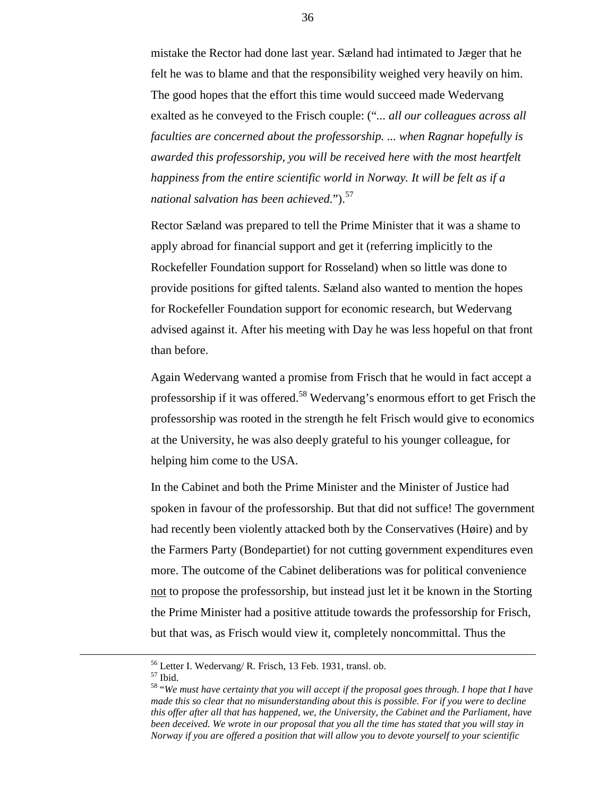mistake the Rector had done last year. Sæland had intimated to Jæger that he felt he was to blame and that the responsibility weighed very heavily on him. The good hopes that the effort this time would succeed made Wedervang exalted as he conveyed to the Frisch couple: ("*... all our colleagues across all faculties are concerned about the professorship. ... when Ragnar hopefully is awarded this professorship, you will be received here with the most heartfelt happiness from the entire scientific world in Norway. It will be felt as if a national salvation has been achieved.*").<sup>57</sup>

Rector Sæland was prepared to tell the Prime Minister that it was a shame to apply abroad for financial support and get it (referring implicitly to the Rockefeller Foundation support for Rosseland) when so little was done to provide positions for gifted talents. Sæland also wanted to mention the hopes for Rockefeller Foundation support for economic research, but Wedervang advised against it. After his meeting with Day he was less hopeful on that front than before.

Again Wedervang wanted a promise from Frisch that he would in fact accept a professorship if it was offered.58 Wedervang's enormous effort to get Frisch the professorship was rooted in the strength he felt Frisch would give to economics at the University, he was also deeply grateful to his younger colleague, for helping him come to the USA.

In the Cabinet and both the Prime Minister and the Minister of Justice had spoken in favour of the professorship. But that did not suffice! The government had recently been violently attacked both by the Conservatives (Høire) and by the Farmers Party (Bondepartiet) for not cutting government expenditures even more. The outcome of the Cabinet deliberations was for political convenience not to propose the professorship, but instead just let it be known in the Storting the Prime Minister had a positive attitude towards the professorship for Frisch, but that was, as Frisch would view it, completely noncommittal. Thus the

 $^{\rm 57}$  Ibid.

 <sup>56</sup> Letter I. Wedervang/ R. Frisch, 13 Feb. 1931, transl. ob.

<sup>58 &</sup>quot;*We must have certainty that you will accept if the proposal goes through. I hope that I have made this so clear that no misunderstanding about this is possible. For if you were to decline this offer after all that has happened, we, the University, the Cabinet and the Parliament, have been deceived. We wrote in our proposal that you all the time has stated that you will stay in Norway if you are offered a position that will allow you to devote yourself to your scientific*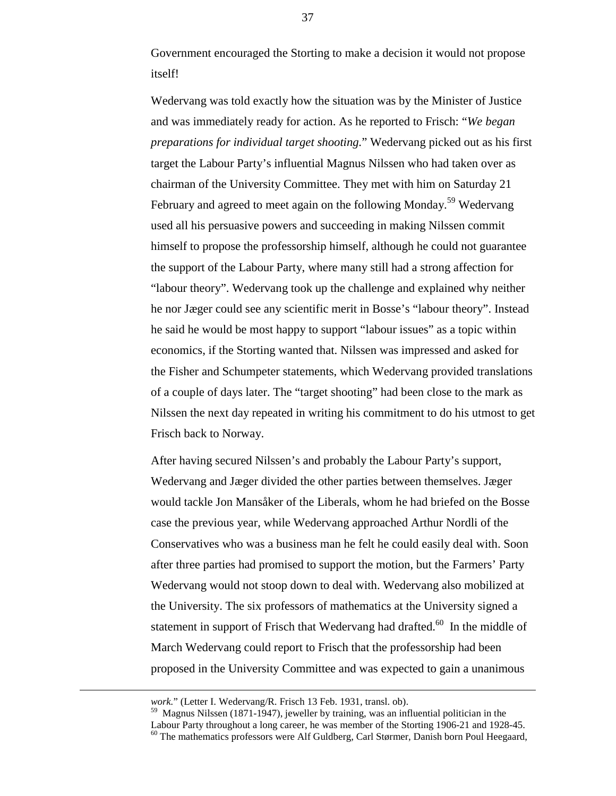Government encouraged the Storting to make a decision it would not propose itself!

Wedervang was told exactly how the situation was by the Minister of Justice and was immediately ready for action. As he reported to Frisch: "*We began preparations for individual target shooting.*" Wedervang picked out as his first target the Labour Party's influential Magnus Nilssen who had taken over as chairman of the University Committee. They met with him on Saturday 21 February and agreed to meet again on the following Monday.<sup>59</sup> Wedervang used all his persuasive powers and succeeding in making Nilssen commit himself to propose the professorship himself, although he could not guarantee the support of the Labour Party, where many still had a strong affection for "labour theory". Wedervang took up the challenge and explained why neither he nor Jæger could see any scientific merit in Bosse's "labour theory". Instead he said he would be most happy to support "labour issues" as a topic within economics, if the Storting wanted that. Nilssen was impressed and asked for the Fisher and Schumpeter statements, which Wedervang provided translations of a couple of days later. The "target shooting" had been close to the mark as Nilssen the next day repeated in writing his commitment to do his utmost to get Frisch back to Norway.

After having secured Nilssen's and probably the Labour Party's support, Wedervang and Jæger divided the other parties between themselves. Jæger would tackle Jon Mansåker of the Liberals, whom he had briefed on the Bosse case the previous year, while Wedervang approached Arthur Nordli of the Conservatives who was a business man he felt he could easily deal with. Soon after three parties had promised to support the motion, but the Farmers' Party Wedervang would not stoop down to deal with. Wedervang also mobilized at the University. The six professors of mathematics at the University signed a statement in support of Frisch that Wedervang had drafted.<sup>60</sup> In the middle of March Wedervang could report to Frisch that the professorship had been proposed in the University Committee and was expected to gain a unanimous

1

*work.*" (Letter I. Wedervang/R. Frisch 13 Feb. 1931, transl. ob).

 $59$  Magnus Nilssen (1871-1947), jeweller by training, was an influential politician in the Labour Party throughout a long career, he was member of the Storting 1906-21 and 1928-45.  $60$  The mathematics professors were Alf Guldberg, Carl Størmer, Danish born Poul Heegaard,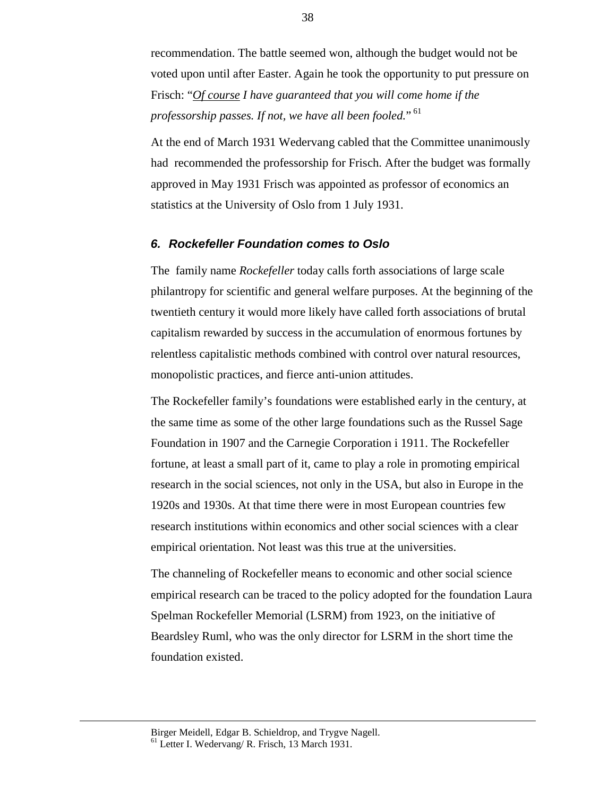recommendation. The battle seemed won, although the budget would not be voted upon until after Easter. Again he took the opportunity to put pressure on Frisch: "*Of course I have guaranteed that you will come home if the* professorship passes. If not, we have all been fooled." <sup>61</sup>

At the end of March 1931 Wedervang cabled that the Committee unanimously had recommended the professorship for Frisch. After the budget was formally approved in May 1931 Frisch was appointed as professor of economics an statistics at the University of Oslo from 1 July 1931.

#### *6. Rockefeller Foundation comes to Oslo*

The family name *Rockefeller* today calls forth associations of large scale philantropy for scientific and general welfare purposes. At the beginning of the twentieth century it would more likely have called forth associations of brutal capitalism rewarded by success in the accumulation of enormous fortunes by relentless capitalistic methods combined with control over natural resources, monopolistic practices, and fierce anti-union attitudes.

The Rockefeller family's foundations were established early in the century, at the same time as some of the other large foundations such as the Russel Sage Foundation in 1907 and the Carnegie Corporation i 1911. The Rockefeller fortune, at least a small part of it, came to play a role in promoting empirical research in the social sciences, not only in the USA, but also in Europe in the 1920s and 1930s. At that time there were in most European countries few research institutions within economics and other social sciences with a clear empirical orientation. Not least was this true at the universities.

The channeling of Rockefeller means to economic and other social science empirical research can be traced to the policy adopted for the foundation Laura Spelman Rockefeller Memorial (LSRM) from 1923, on the initiative of Beardsley Ruml, who was the only director for LSRM in the short time the foundation existed.

Birger Meidell, Edgar B. Schieldrop, and Trygve Nagell. 61 Letter I. Wedervang/ R. Frisch, 13 March 1931.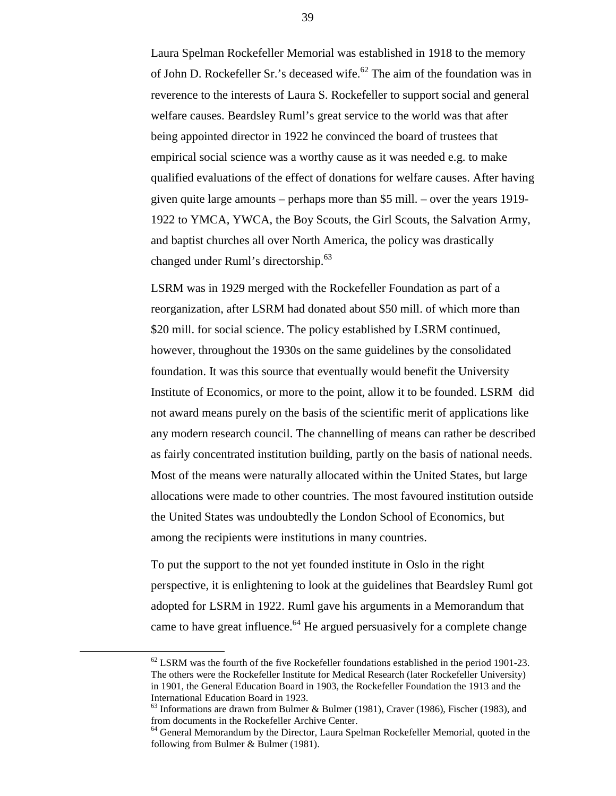Laura Spelman Rockefeller Memorial was established in 1918 to the memory of John D. Rockefeller Sr.'s deceased wife.<sup>62</sup> The aim of the foundation was in reverence to the interests of Laura S. Rockefeller to support social and general welfare causes. Beardsley Ruml's great service to the world was that after being appointed director in 1922 he convinced the board of trustees that empirical social science was a worthy cause as it was needed e.g. to make qualified evaluations of the effect of donations for welfare causes. After having given quite large amounts – perhaps more than \$5 mill. – over the years 1919- 1922 to YMCA, YWCA, the Boy Scouts, the Girl Scouts, the Salvation Army, and baptist churches all over North America, the policy was drastically changed under Ruml's directorship.<sup>63</sup>

LSRM was in 1929 merged with the Rockefeller Foundation as part of a reorganization, after LSRM had donated about \$50 mill. of which more than \$20 mill. for social science. The policy established by LSRM continued, however, throughout the 1930s on the same guidelines by the consolidated foundation. It was this source that eventually would benefit the University Institute of Economics, or more to the point, allow it to be founded. LSRM did not award means purely on the basis of the scientific merit of applications like any modern research council. The channelling of means can rather be described as fairly concentrated institution building, partly on the basis of national needs. Most of the means were naturally allocated within the United States, but large allocations were made to other countries. The most favoured institution outside the United States was undoubtedly the London School of Economics, but among the recipients were institutions in many countries.

To put the support to the not yet founded institute in Oslo in the right perspective, it is enlightening to look at the guidelines that Beardsley Ruml got adopted for LSRM in 1922. Ruml gave his arguments in a Memorandum that came to have great influence.<sup>64</sup> He argued persuasively for a complete change

 $62$  LSRM was the fourth of the five Rockefeller foundations established in the period 1901-23. The others were the Rockefeller Institute for Medical Research (later Rockefeller University) in 1901, the General Education Board in 1903, the Rockefeller Foundation the 1913 and the International Education Board in 1923.

 $63$  Informations are drawn from Bulmer & Bulmer (1981), Craver (1986), Fischer (1983), and from documents in the Rockefeller Archive Center.

<sup>&</sup>lt;sup>64</sup> General Memorandum by the Director, Laura Spelman Rockefeller Memorial, quoted in the following from Bulmer & Bulmer (1981).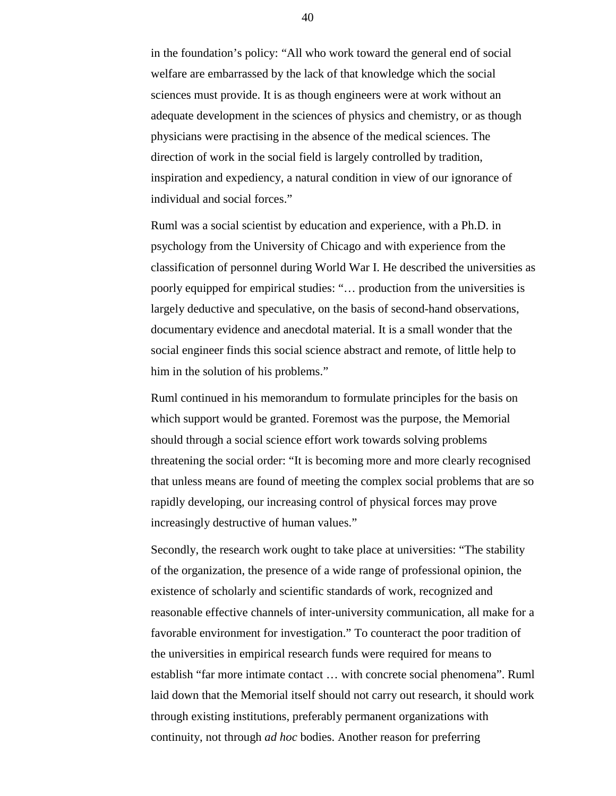in the foundation's policy: "All who work toward the general end of social welfare are embarrassed by the lack of that knowledge which the social sciences must provide. It is as though engineers were at work without an adequate development in the sciences of physics and chemistry, or as though physicians were practising in the absence of the medical sciences. The direction of work in the social field is largely controlled by tradition, inspiration and expediency, a natural condition in view of our ignorance of individual and social forces."

Ruml was a social scientist by education and experience, with a Ph.D. in psychology from the University of Chicago and with experience from the classification of personnel during World War I. He described the universities as poorly equipped for empirical studies: "… production from the universities is largely deductive and speculative, on the basis of second-hand observations, documentary evidence and anecdotal material. It is a small wonder that the social engineer finds this social science abstract and remote, of little help to him in the solution of his problems."

Ruml continued in his memorandum to formulate principles for the basis on which support would be granted. Foremost was the purpose, the Memorial should through a social science effort work towards solving problems threatening the social order: "It is becoming more and more clearly recognised that unless means are found of meeting the complex social problems that are so rapidly developing, our increasing control of physical forces may prove increasingly destructive of human values."

Secondly, the research work ought to take place at universities: "The stability of the organization, the presence of a wide range of professional opinion, the existence of scholarly and scientific standards of work, recognized and reasonable effective channels of inter-university communication, all make for a favorable environment for investigation." To counteract the poor tradition of the universities in empirical research funds were required for means to establish "far more intimate contact … with concrete social phenomena". Ruml laid down that the Memorial itself should not carry out research, it should work through existing institutions, preferably permanent organizations with continuity, not through *ad hoc* bodies. Another reason for preferring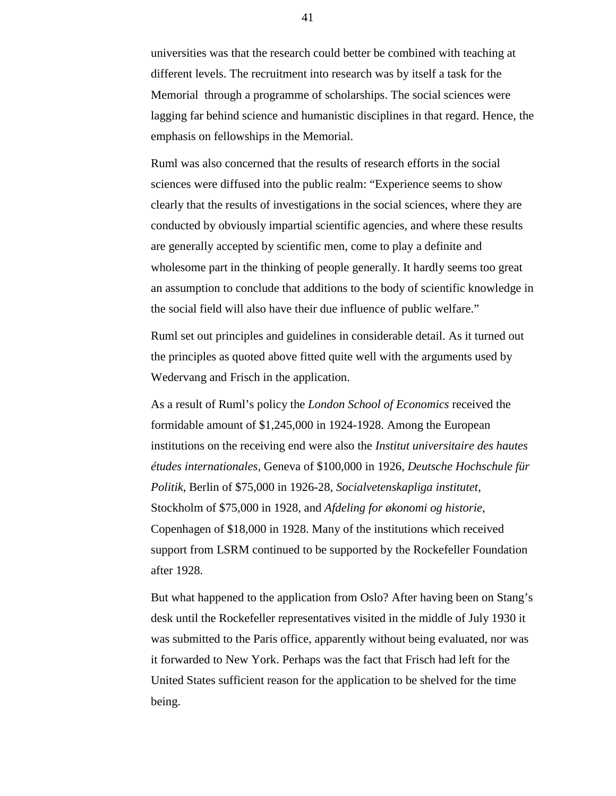universities was that the research could better be combined with teaching at different levels. The recruitment into research was by itself a task for the Memorial through a programme of scholarships. The social sciences were lagging far behind science and humanistic disciplines in that regard. Hence, the emphasis on fellowships in the Memorial.

Ruml was also concerned that the results of research efforts in the social sciences were diffused into the public realm: "Experience seems to show clearly that the results of investigations in the social sciences, where they are conducted by obviously impartial scientific agencies, and where these results are generally accepted by scientific men, come to play a definite and wholesome part in the thinking of people generally. It hardly seems too great an assumption to conclude that additions to the body of scientific knowledge in the social field will also have their due influence of public welfare."

Ruml set out principles and guidelines in considerable detail. As it turned out the principles as quoted above fitted quite well with the arguments used by Wedervang and Frisch in the application.

As a result of Ruml's policy the *London School of Economics* received the formidable amount of \$1,245,000 in 1924-1928. Among the European institutions on the receiving end were also the *Institut universitaire des hautes études internationales*, Geneva of \$100,000 in 1926, *Deutsche Hochschule für Politik*, Berlin of \$75,000 in 1926-28, *Socialvetenskapliga institutet*, Stockholm of \$75,000 in 1928, and *Afdeling for økonomi og historie*, Copenhagen of \$18,000 in 1928. Many of the institutions which received support from LSRM continued to be supported by the Rockefeller Foundation after 1928.

But what happened to the application from Oslo? After having been on Stang's desk until the Rockefeller representatives visited in the middle of July 1930 it was submitted to the Paris office, apparently without being evaluated, nor was it forwarded to New York. Perhaps was the fact that Frisch had left for the United States sufficient reason for the application to be shelved for the time being.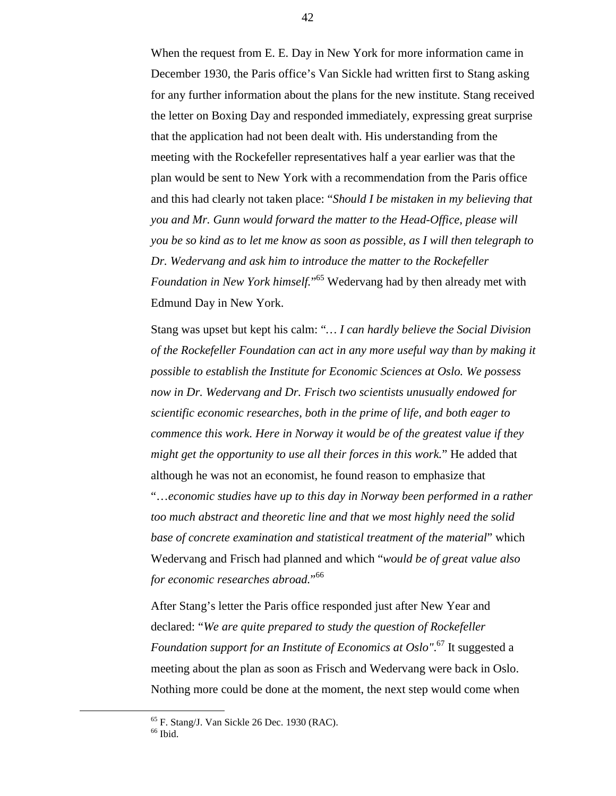When the request from E. E. Day in New York for more information came in December 1930, the Paris office's Van Sickle had written first to Stang asking for any further information about the plans for the new institute. Stang received the letter on Boxing Day and responded immediately, expressing great surprise that the application had not been dealt with. His understanding from the meeting with the Rockefeller representatives half a year earlier was that the plan would be sent to New York with a recommendation from the Paris office and this had clearly not taken place: "*Should I be mistaken in my believing that you and Mr. Gunn would forward the matter to the Head-Office, please will you be so kind as to let me know as soon as possible, as I will then telegraph to Dr. Wedervang and ask him to introduce the matter to the Rockefeller Foundation in New York himself.*" 65 Wedervang had by then already met with Edmund Day in New York.

Stang was upset but kept his calm: "*… I can hardly believe the Social Division of the Rockefeller Foundation can act in any more useful way than by making it possible to establish the Institute for Economic Sciences at Oslo. We possess now in Dr. Wedervang and Dr. Frisch two scientists unusually endowed for scientific economic researches, both in the prime of life, and both eager to commence this work. Here in Norway it would be of the greatest value if they might get the opportunity to use all their forces in this work.*" He added that although he was not an economist, he found reason to emphasize that "…*economic studies have up to this day in Norway been performed in a rather too much abstract and theoretic line and that we most highly need the solid base of concrete examination and statistical treatment of the material*" which Wedervang and Frisch had planned and which "*would be of great value also for economic researches abroad.*" 66

After Stang's letter the Paris office responded just after New Year and declared: "*We are quite prepared to study the question of Rockefeller Foundation support for an Institute of Economics at Oslo"*. 67 It suggested a meeting about the plan as soon as Frisch and Wedervang were back in Oslo. Nothing more could be done at the moment, the next step would come when

 <sup>65</sup> F. Stang/J. Van Sickle 26 Dec. 1930 (RAC).

 $66$  Ibid.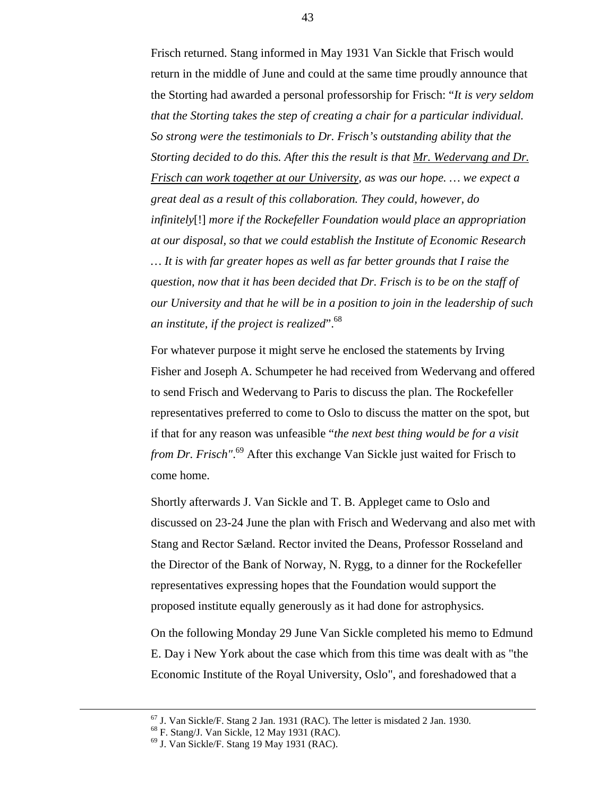Frisch returned. Stang informed in May 1931 Van Sickle that Frisch would return in the middle of June and could at the same time proudly announce that the Storting had awarded a personal professorship for Frisch: "*It is very seldom that the Storting takes the step of creating a chair for a particular individual. So strong were the testimonials to Dr. Frisch's outstanding ability that the Storting decided to do this. After this the result is that Mr. Wedervang and Dr. Frisch can work together at our University, as was our hope. … we expect a great deal as a result of this collaboration. They could, however, do infinitely*[!] *more if the Rockefeller Foundation would place an appropriation at our disposal, so that we could establish the Institute of Economic Research … It is with far greater hopes as well as far better grounds that I raise the question, now that it has been decided that Dr. Frisch is to be on the staff of our University and that he will be in a position to join in the leadership of such an institute, if the project is realized*".68

For whatever purpose it might serve he enclosed the statements by Irving Fisher and Joseph A. Schumpeter he had received from Wedervang and offered to send Frisch and Wedervang to Paris to discuss the plan. The Rockefeller representatives preferred to come to Oslo to discuss the matter on the spot, but if that for any reason was unfeasible "*the next best thing would be for a visit from Dr. Frisch"*. 69 After this exchange Van Sickle just waited for Frisch to come home.

Shortly afterwards J. Van Sickle and T. B. Appleget came to Oslo and discussed on 23-24 June the plan with Frisch and Wedervang and also met with Stang and Rector Sæland. Rector invited the Deans, Professor Rosseland and the Director of the Bank of Norway, N. Rygg, to a dinner for the Rockefeller representatives expressing hopes that the Foundation would support the proposed institute equally generously as it had done for astrophysics.

On the following Monday 29 June Van Sickle completed his memo to Edmund E. Day i New York about the case which from this time was dealt with as "the Economic Institute of the Royal University, Oslo", and foreshadowed that a

 $67$  J. Van Sickle/F. Stang 2 Jan. 1931 (RAC). The letter is misdated 2 Jan. 1930.

<sup>68</sup> F. Stang/J. Van Sickle, 12 May 1931 (RAC).

 $69$  J. Van Sickle/F. Stang 19 May 1931 (RAC).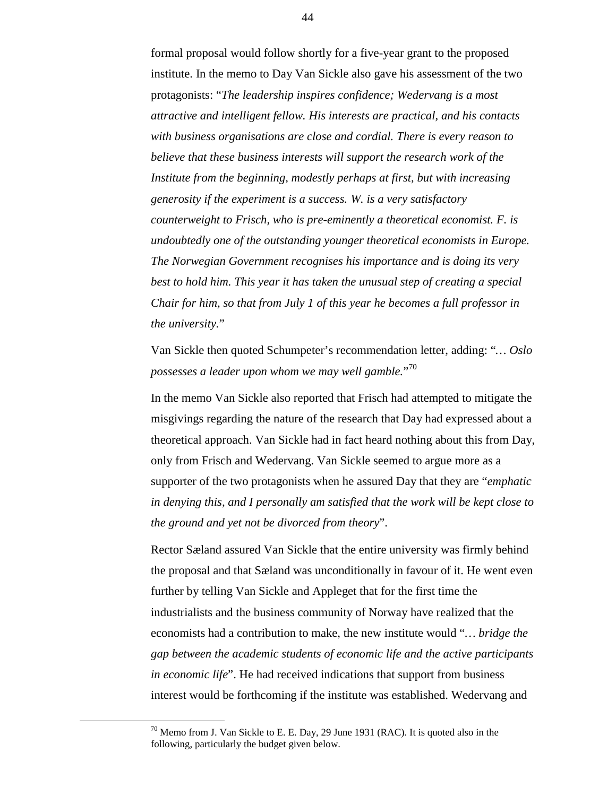formal proposal would follow shortly for a five-year grant to the proposed institute. In the memo to Day Van Sickle also gave his assessment of the two protagonists: "*The leadership inspires confidence; Wedervang is a most attractive and intelligent fellow. His interests are practical, and his contacts with business organisations are close and cordial. There is every reason to believe that these business interests will support the research work of the Institute from the beginning, modestly perhaps at first, but with increasing generosity if the experiment is a success. W. is a very satisfactory counterweight to Frisch, who is pre-eminently a theoretical economist. F. is undoubtedly one of the outstanding younger theoretical economists in Europe. The Norwegian Government recognises his importance and is doing its very best to hold him. This year it has taken the unusual step of creating a special Chair for him, so that from July 1 of this year he becomes a full professor in the university.*"

Van Sickle then quoted Schumpeter's recommendation letter, adding: "*… Oslo possesses a leader upon whom we may well gamble.*" 70

In the memo Van Sickle also reported that Frisch had attempted to mitigate the misgivings regarding the nature of the research that Day had expressed about a theoretical approach. Van Sickle had in fact heard nothing about this from Day, only from Frisch and Wedervang. Van Sickle seemed to argue more as a supporter of the two protagonists when he assured Day that they are "*emphatic in denying this, and I personally am satisfied that the work will be kept close to the ground and yet not be divorced from theory*".

Rector Sæland assured Van Sickle that the entire university was firmly behind the proposal and that Sæland was unconditionally in favour of it. He went even further by telling Van Sickle and Appleget that for the first time the industrialists and the business community of Norway have realized that the economists had a contribution to make, the new institute would "*… bridge the gap between the academic students of economic life and the active participants in economic life*". He had received indications that support from business interest would be forthcoming if the institute was established. Wedervang and

 $70$  Memo from J. Van Sickle to E. E. Day, 29 June 1931 (RAC). It is quoted also in the following, particularly the budget given below.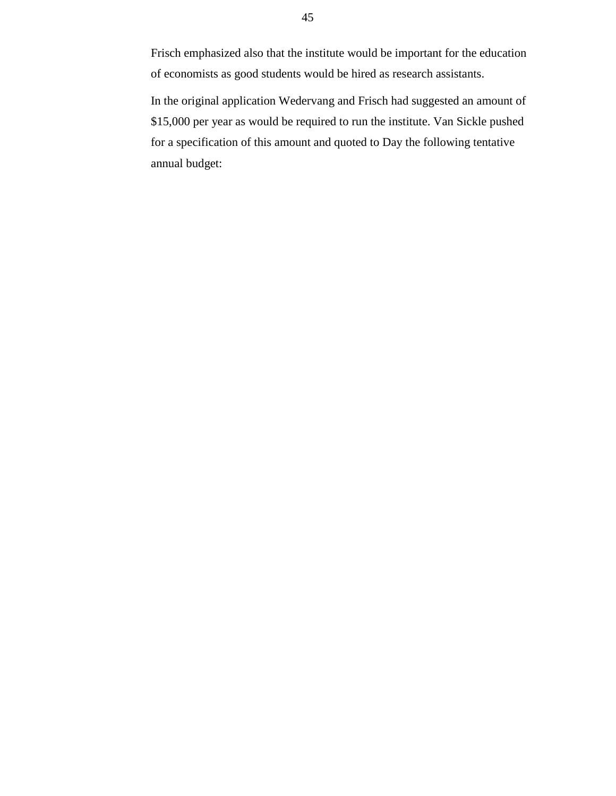Frisch emphasized also that the institute would be important for the education of economists as good students would be hired as research assistants.

In the original application Wedervang and Frisch had suggested an amount of \$15,000 per year as would be required to run the institute. Van Sickle pushed for a specification of this amount and quoted to Day the following tentative annual budget: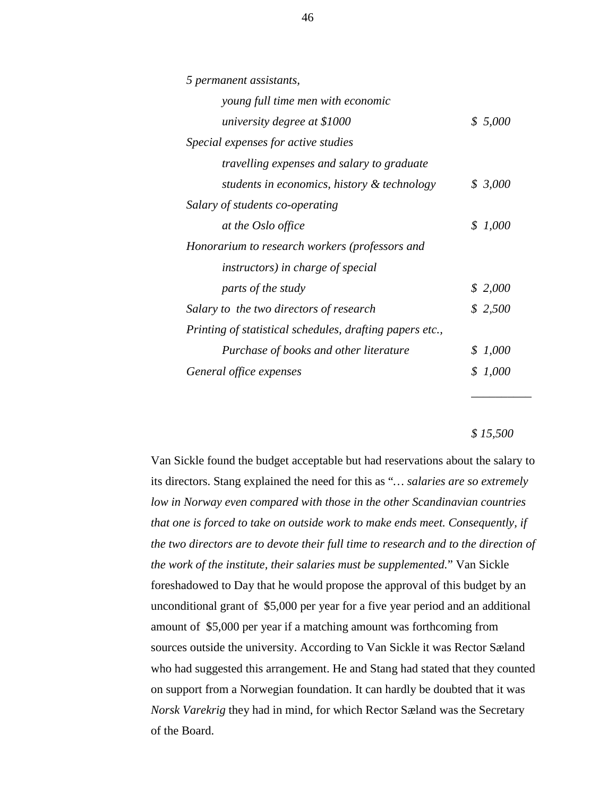| 5 permanent assistants,                                  |         |
|----------------------------------------------------------|---------|
| young full time men with economic                        |         |
| university degree at \$1000                              | \$5,000 |
| Special expenses for active studies                      |         |
| <i>travelling expenses and salary to graduate</i>        |         |
| students in economics, history & technology              | \$3,000 |
| Salary of students co-operating                          |         |
| at the Oslo office                                       | \$1,000 |
| Honorarium to research workers (professors and           |         |
| <i>instructors</i> ) in <i>charge</i> of <i>special</i>  |         |
| parts of the study                                       | \$2,000 |
| Salary to the two directors of research                  | \$2,500 |
| Printing of statistical schedules, drafting papers etc., |         |
| Purchase of books and other literature                   | \$1,000 |
| General office expenses                                  | \$1,000 |
|                                                          |         |

*\$ 15,500*

*\_\_\_\_\_\_\_\_\_\_*

Van Sickle found the budget acceptable but had reservations about the salary to its directors. Stang explained the need for this as "*… salaries are so extremely low in Norway even compared with those in the other Scandinavian countries that one is forced to take on outside work to make ends meet. Consequently, if the two directors are to devote their full time to research and to the direction of the work of the institute, their salaries must be supplemented.*" Van Sickle foreshadowed to Day that he would propose the approval of this budget by an unconditional grant of \$5,000 per year for a five year period and an additional amount of \$5,000 per year if a matching amount was forthcoming from sources outside the university. According to Van Sickle it was Rector Sæland who had suggested this arrangement. He and Stang had stated that they counted on support from a Norwegian foundation. It can hardly be doubted that it was *Norsk Varekrig* they had in mind, for which Rector Sæland was the Secretary of the Board.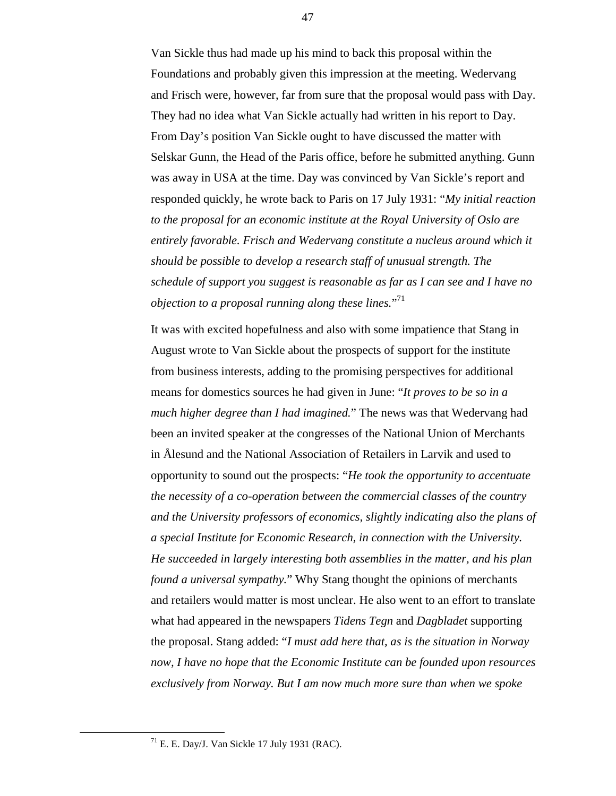Van Sickle thus had made up his mind to back this proposal within the Foundations and probably given this impression at the meeting. Wedervang and Frisch were, however, far from sure that the proposal would pass with Day. They had no idea what Van Sickle actually had written in his report to Day. From Day's position Van Sickle ought to have discussed the matter with Selskar Gunn, the Head of the Paris office, before he submitted anything. Gunn was away in USA at the time. Day was convinced by Van Sickle's report and responded quickly, he wrote back to Paris on 17 July 1931: "*My initial reaction to the proposal for an economic institute at the Royal University of Oslo are entirely favorable. Frisch and Wedervang constitute a nucleus around which it should be possible to develop a research staff of unusual strength. The schedule of support you suggest is reasonable as far as I can see and I have no objection to a proposal running along these lines.*" 71

It was with excited hopefulness and also with some impatience that Stang in August wrote to Van Sickle about the prospects of support for the institute from business interests, adding to the promising perspectives for additional means for domestics sources he had given in June: "*It proves to be so in a much higher degree than I had imagined.*" The news was that Wedervang had been an invited speaker at the congresses of the National Union of Merchants in Ålesund and the National Association of Retailers in Larvik and used to opportunity to sound out the prospects: "*He took the opportunity to accentuate the necessity of a co-operation between the commercial classes of the country and the University professors of economics, slightly indicating also the plans of a special Institute for Economic Research, in connection with the University. He succeeded in largely interesting both assemblies in the matter, and his plan found a universal sympathy.*" Why Stang thought the opinions of merchants and retailers would matter is most unclear. He also went to an effort to translate what had appeared in the newspapers *Tidens Tegn* and *Dagbladet* supporting the proposal. Stang added: "*I must add here that, as is the situation in Norway now, I have no hope that the Economic Institute can be founded upon resources exclusively from Norway. But I am now much more sure than when we spoke*

 $71$  E. E. Day/J. Van Sickle 17 July 1931 (RAC).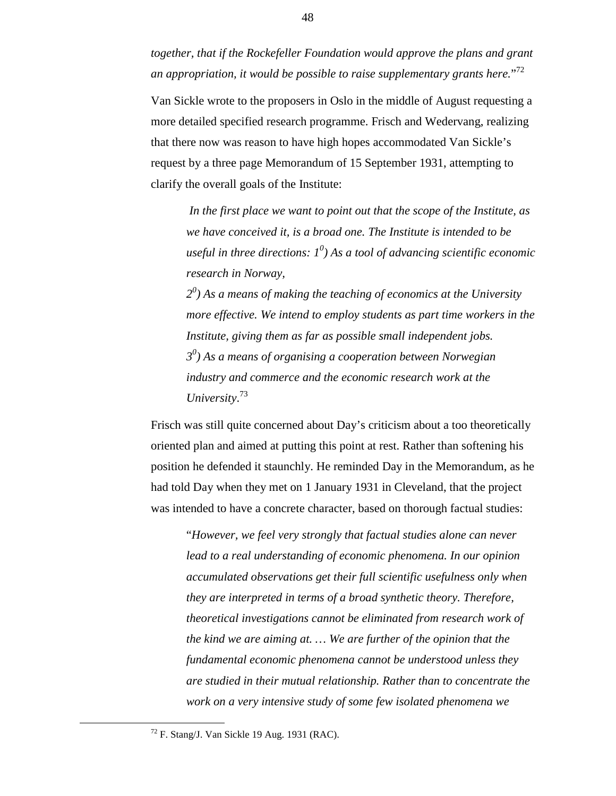*together, that if the Rockefeller Foundation would approve the plans and grant an appropriation, it would be possible to raise supplementary grants here.*" 72

Van Sickle wrote to the proposers in Oslo in the middle of August requesting a more detailed specified research programme. Frisch and Wedervang, realizing that there now was reason to have high hopes accommodated Van Sickle's request by a three page Memorandum of 15 September 1931, attempting to clarify the overall goals of the Institute:

*In the first place we want to point out that the scope of the Institute, as we have conceived it, is a broad one. The Institute is intended to be useful in three directions: 1<sup>0</sup> ) As a tool of advancing scientific economic research in Norway,*

*20 ) As a means of making the teaching of economics at the University more effective. We intend to employ students as part time workers in the Institute, giving them as far as possible small independent jobs. 30 ) As a means of organising a cooperation between Norwegian industry and commerce and the economic research work at the University*. 73

Frisch was still quite concerned about Day's criticism about a too theoretically oriented plan and aimed at putting this point at rest. Rather than softening his position he defended it staunchly. He reminded Day in the Memorandum, as he had told Day when they met on 1 January 1931 in Cleveland, that the project was intended to have a concrete character, based on thorough factual studies:

"*However, we feel very strongly that factual studies alone can never lead to a real understanding of economic phenomena. In our opinion accumulated observations get their full scientific usefulness only when they are interpreted in terms of a broad synthetic theory. Therefore, theoretical investigations cannot be eliminated from research work of the kind we are aiming at. … We are further of the opinion that the fundamental economic phenomena cannot be understood unless they are studied in their mutual relationship. Rather than to concentrate the work on a very intensive study of some few isolated phenomena we*

 $72$  F. Stang/J. Van Sickle 19 Aug. 1931 (RAC).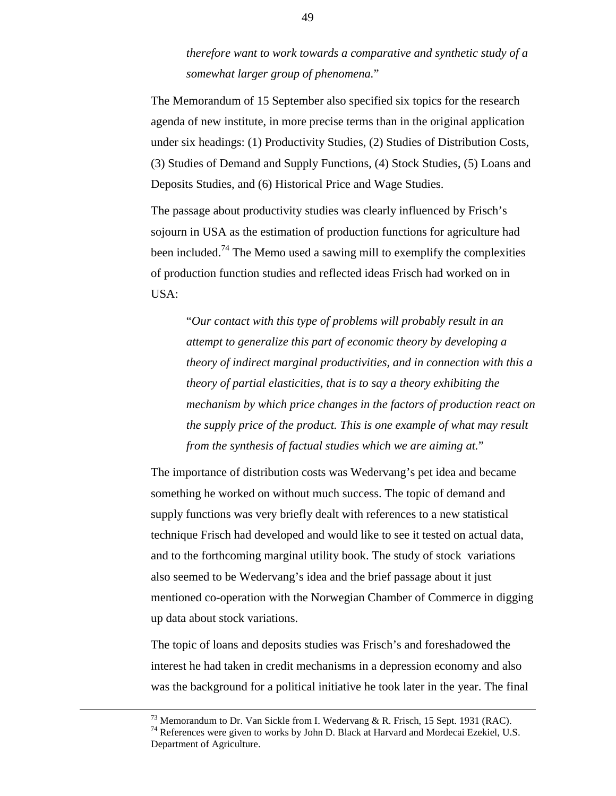# *therefore want to work towards a comparative and synthetic study of a somewhat larger group of phenomena.*"

The Memorandum of 15 September also specified six topics for the research agenda of new institute, in more precise terms than in the original application under six headings: (1) Productivity Studies, (2) Studies of Distribution Costs, (3) Studies of Demand and Supply Functions, (4) Stock Studies, (5) Loans and Deposits Studies, and (6) Historical Price and Wage Studies.

The passage about productivity studies was clearly influenced by Frisch's sojourn in USA as the estimation of production functions for agriculture had been included.<sup>74</sup> The Memo used a sawing mill to exemplify the complexities of production function studies and reflected ideas Frisch had worked on in USA:

"*Our contact with this type of problems will probably result in an attempt to generalize this part of economic theory by developing a theory of indirect marginal productivities, and in connection with this a theory of partial elasticities, that is to say a theory exhibiting the mechanism by which price changes in the factors of production react on the supply price of the product. This is one example of what may result from the synthesis of factual studies which we are aiming at.*"

The importance of distribution costs was Wedervang's pet idea and became something he worked on without much success. The topic of demand and supply functions was very briefly dealt with references to a new statistical technique Frisch had developed and would like to see it tested on actual data, and to the forthcoming marginal utility book. The study of stock variations also seemed to be Wedervang's idea and the brief passage about it just mentioned co-operation with the Norwegian Chamber of Commerce in digging up data about stock variations.

The topic of loans and deposits studies was Frisch's and foreshadowed the interest he had taken in credit mechanisms in a depression economy and also was the background for a political initiative he took later in the year. The final

<sup>&</sup>lt;sup>73</sup> Memorandum to Dr. Van Sickle from I. Wedervang & R. Frisch, 15 Sept. 1931 (RAC).

<sup>&</sup>lt;sup>74</sup> References were given to works by John D. Black at Harvard and Mordecai Ezekiel, U.S. Department of Agriculture.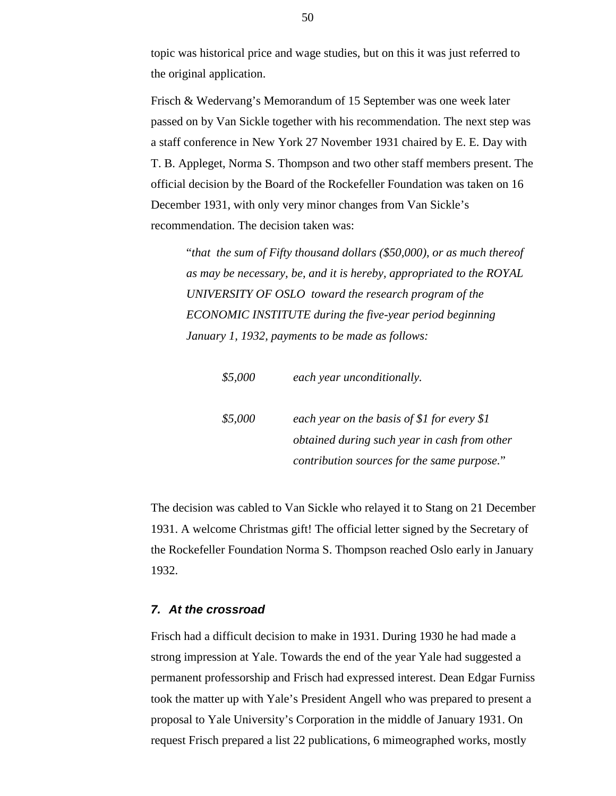topic was historical price and wage studies, but on this it was just referred to the original application.

Frisch & Wedervang's Memorandum of 15 September was one week later passed on by Van Sickle together with his recommendation. The next step was a staff conference in New York 27 November 1931 chaired by E. E. Day with T. B. Appleget, Norma S. Thompson and two other staff members present. The official decision by the Board of the Rockefeller Foundation was taken on 16 December 1931, with only very minor changes from Van Sickle's recommendation. The decision taken was:

"*that the sum of Fifty thousand dollars (\$50,000), or as much thereof as may be necessary, be, and it is hereby, appropriated to the ROYAL UNIVERSITY OF OSLO toward the research program of the ECONOMIC INSTITUTE during the five-year period beginning January 1, 1932, payments to be made as follows:*

| \$5,000 | each year unconditionally.                                                                  |
|---------|---------------------------------------------------------------------------------------------|
| \$5,000 | each year on the basis of \$1 for every \$1<br>obtained during such year in cash from other |
|         | contribution sources for the same purpose."                                                 |

The decision was cabled to Van Sickle who relayed it to Stang on 21 December 1931. A welcome Christmas gift! The official letter signed by the Secretary of the Rockefeller Foundation Norma S. Thompson reached Oslo early in January 1932.

#### *7. At the crossroad*

Frisch had a difficult decision to make in 1931. During 1930 he had made a strong impression at Yale. Towards the end of the year Yale had suggested a permanent professorship and Frisch had expressed interest. Dean Edgar Furniss took the matter up with Yale's President Angell who was prepared to present a proposal to Yale University's Corporation in the middle of January 1931. On request Frisch prepared a list 22 publications, 6 mimeographed works, mostly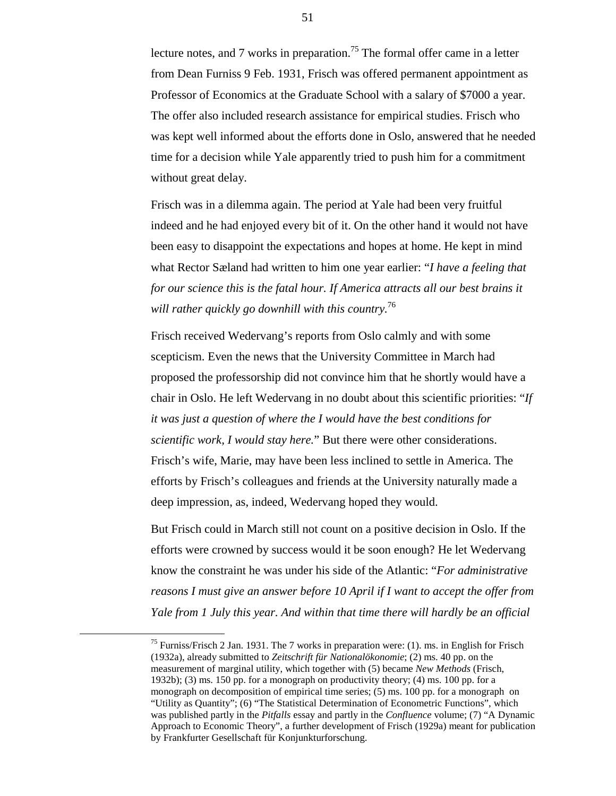lecture notes, and 7 works in preparation.<sup>75</sup> The formal offer came in a letter from Dean Furniss 9 Feb. 1931, Frisch was offered permanent appointment as Professor of Economics at the Graduate School with a salary of \$7000 a year. The offer also included research assistance for empirical studies. Frisch who was kept well informed about the efforts done in Oslo, answered that he needed time for a decision while Yale apparently tried to push him for a commitment without great delay.

Frisch was in a dilemma again. The period at Yale had been very fruitful indeed and he had enjoyed every bit of it. On the other hand it would not have been easy to disappoint the expectations and hopes at home. He kept in mind what Rector Sæland had written to him one year earlier: "*I have a feeling that for our science this is the fatal hour. If America attracts all our best brains it will rather quickly go downhill with this country.*<sup>76</sup>

Frisch received Wedervang's reports from Oslo calmly and with some scepticism. Even the news that the University Committee in March had proposed the professorship did not convince him that he shortly would have a chair in Oslo. He left Wedervang in no doubt about this scientific priorities: "*If it was just a question of where the I would have the best conditions for scientific work, I would stay here.*" But there were other considerations. Frisch's wife, Marie, may have been less inclined to settle in America. The efforts by Frisch's colleagues and friends at the University naturally made a deep impression, as, indeed, Wedervang hoped they would.

But Frisch could in March still not count on a positive decision in Oslo. If the efforts were crowned by success would it be soon enough? He let Wedervang know the constraint he was under his side of the Atlantic: "*For administrative reasons I must give an answer before 10 April if I want to accept the offer from Yale from 1 July this year. And within that time there will hardly be an official*

<sup>&</sup>lt;sup>75</sup> Furniss/Frisch 2 Jan. 1931. The 7 works in preparation were: (1). ms. in English for Frisch (1932a), already submitted to *Zeitschrift für Nationalökonomie*; (2) ms. 40 pp. on the measurement of marginal utility, which together with (5) became *New Methods* (Frisch, 1932b); (3) ms. 150 pp. for a monograph on productivity theory; (4) ms. 100 pp. for a monograph on decomposition of empirical time series; (5) ms. 100 pp. for a monograph on "Utility as Quantity"; (6) "The Statistical Determination of Econometric Functions", which was published partly in the *Pitfalls* essay and partly in the *Confluence* volume; (7) "A Dynamic Approach to Economic Theory", a further development of Frisch (1929a) meant for publication by Frankfurter Gesellschaft für Konjunkturforschung.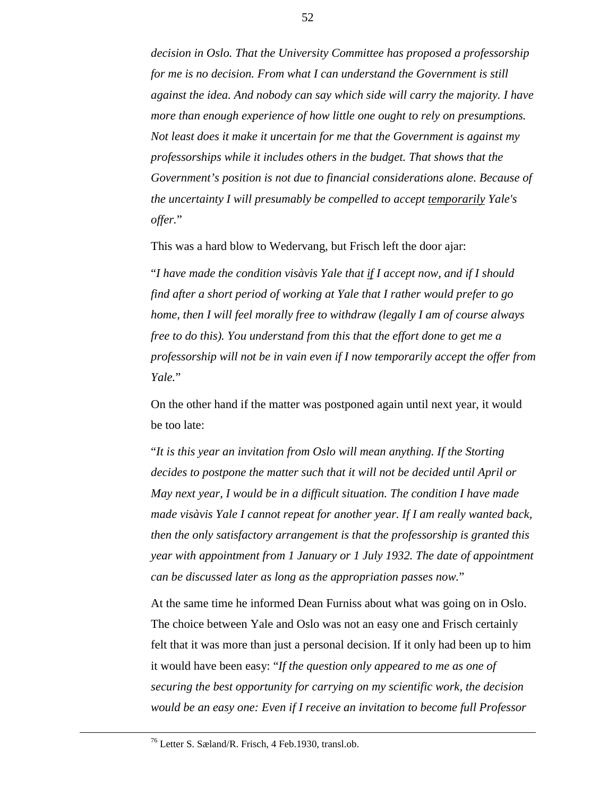*decision in Oslo. That the University Committee has proposed a professorship for me is no decision. From what I can understand the Government is still against the idea. And nobody can say which side will carry the majority. I have more than enough experience of how little one ought to rely on presumptions. Not least does it make it uncertain for me that the Government is against my professorships while it includes others in the budget. That shows that the Government's position is not due to financial considerations alone. Because of the uncertainty I will presumably be compelled to accept temporarily Yale's offer.*"

This was a hard blow to Wedervang, but Frisch left the door ajar:

"*I have made the condition visàvis Yale that if I accept now, and if I should find after a short period of working at Yale that I rather would prefer to go home, then I will feel morally free to withdraw (legally I am of course always free to do this). You understand from this that the effort done to get me a professorship will not be in vain even if I now temporarily accept the offer from Yale.*"

On the other hand if the matter was postponed again until next year, it would be too late:

"*It is this year an invitation from Oslo will mean anything. If the Storting decides to postpone the matter such that it will not be decided until April or May next year, I would be in a difficult situation. The condition I have made made visàvis Yale I cannot repeat for another year. If I am really wanted back, then the only satisfactory arrangement is that the professorship is granted this year with appointment from 1 January or 1 July 1932. The date of appointment can be discussed later as long as the appropriation passes now.*"

At the same time he informed Dean Furniss about what was going on in Oslo. The choice between Yale and Oslo was not an easy one and Frisch certainly felt that it was more than just a personal decision. If it only had been up to him it would have been easy: "*If the question only appeared to me as one of securing the best opportunity for carrying on my scientific work, the decision would be an easy one: Even if I receive an invitation to become full Professor*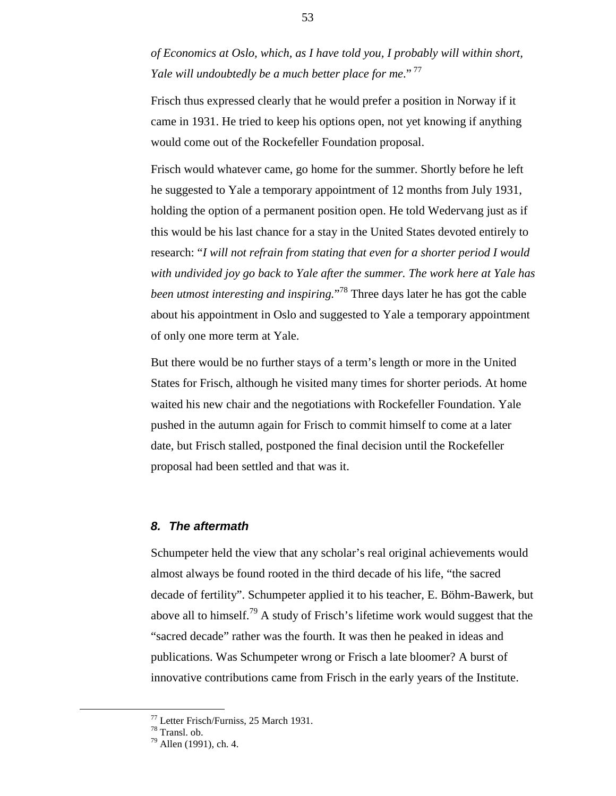*of Economics at Oslo, which, as I have told you, I probably will within short, Yale will undoubtedly be a much better place for me*." 77

Frisch thus expressed clearly that he would prefer a position in Norway if it came in 1931. He tried to keep his options open, not yet knowing if anything would come out of the Rockefeller Foundation proposal.

Frisch would whatever came, go home for the summer. Shortly before he left he suggested to Yale a temporary appointment of 12 months from July 1931, holding the option of a permanent position open. He told Wedervang just as if this would be his last chance for a stay in the United States devoted entirely to research: "*I will not refrain from stating that even for a shorter period I would with undivided joy go back to Yale after the summer. The work here at Yale has been utmost interesting and inspiring.*" 78 Three days later he has got the cable about his appointment in Oslo and suggested to Yale a temporary appointment of only one more term at Yale.

But there would be no further stays of a term's length or more in the United States for Frisch, although he visited many times for shorter periods. At home waited his new chair and the negotiations with Rockefeller Foundation. Yale pushed in the autumn again for Frisch to commit himself to come at a later date, but Frisch stalled, postponed the final decision until the Rockefeller proposal had been settled and that was it.

## *8. The aftermath*

Schumpeter held the view that any scholar's real original achievements would almost always be found rooted in the third decade of his life, "the sacred decade of fertility". Schumpeter applied it to his teacher, E. Böhm-Bawerk, but above all to himself.<sup>79</sup> A study of Frisch's lifetime work would suggest that the "sacred decade" rather was the fourth. It was then he peaked in ideas and publications. Was Schumpeter wrong or Frisch a late bloomer? A burst of innovative contributions came from Frisch in the early years of the Institute.

The Test of Test Territorium Control Trumper Control of Test Territorium Control of Test Territorium Control of Test Territorium Control of Test Territorium Control of Test Territorium Control of Test Territorium Control o

<sup>78</sup> Transl. ob.

 $79$  Allen (1991), ch. 4.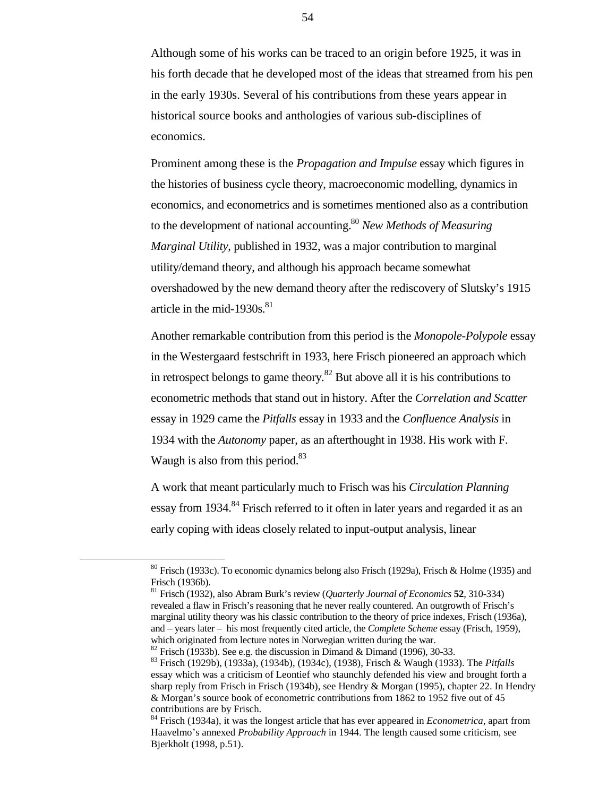Although some of his works can be traced to an origin before 1925, it was in his forth decade that he developed most of the ideas that streamed from his pen in the early 1930s. Several of his contributions from these years appear in historical source books and anthologies of various sub-disciplines of economics.

Prominent among these is the *Propagation and Impulse* essay which figures in the histories of business cycle theory, macroeconomic modelling, dynamics in economics, and econometrics and is sometimes mentioned also as a contribution to the development of national accounting.80 *New Methods of Measuring Marginal Utility*, published in 1932, was a major contribution to marginal utility/demand theory, and although his approach became somewhat overshadowed by the new demand theory after the rediscovery of Slutsky's 1915 article in the mid-1930s. $81$ 

Another remarkable contribution from this period is the *Monopole-Polypole* essay in the Westergaard festschrift in 1933, here Frisch pioneered an approach which in retrospect belongs to game theory. $82$  But above all it is his contributions to econometric methods that stand out in history. After the *Correlation and Scatter* essay in 1929 came the *Pitfalls* essay in 1933 and the *Confluence Analysis* in 1934 with the *Autonomy* paper, as an afterthought in 1938. His work with F. Waugh is also from this period. $83$ 

A work that meant particularly much to Frisch was his *Circulation Planning* essay from 1934.<sup>84</sup> Frisch referred to it often in later years and regarded it as an early coping with ideas closely related to input-output analysis, linear

<sup>82</sup> Frisch (1933b). See e.g. the discussion in Dimand & Dimand (1996), 30-33.

 <sup>80</sup> Frisch (1933c). To economic dynamics belong also Frisch (1929a), Frisch & Holme (1935) and Frisch (1936b).

<sup>81</sup> Frisch (1932), also Abram Burk's review (*Quarterly Journal of Economics* **52**, 310-334) revealed a flaw in Frisch's reasoning that he never really countered. An outgrowth of Frisch's marginal utility theory was his classic contribution to the theory of price indexes, Frisch (1936a), and – years later – his most frequently cited article, the *Complete Scheme* essay (Frisch, 1959), which originated from lecture notes in Norwegian written during the war.

<sup>83</sup> Frisch (1929b), (1933a), (1934b), (1934c), (1938), Frisch & Waugh (1933). The *Pitfalls* essay which was a criticism of Leontief who staunchly defended his view and brought forth a sharp reply from Frisch in Frisch (1934b), see Hendry & Morgan (1995), chapter 22. In Hendry & Morgan's source book of econometric contributions from 1862 to 1952 five out of 45 contributions are by Frisch.

<sup>84</sup> Frisch (1934a), it was the longest article that has ever appeared in *Econometrica*, apart from Haavelmo's annexed *Probability Approach* in 1944. The length caused some criticism, see Bjerkholt (1998, p.51).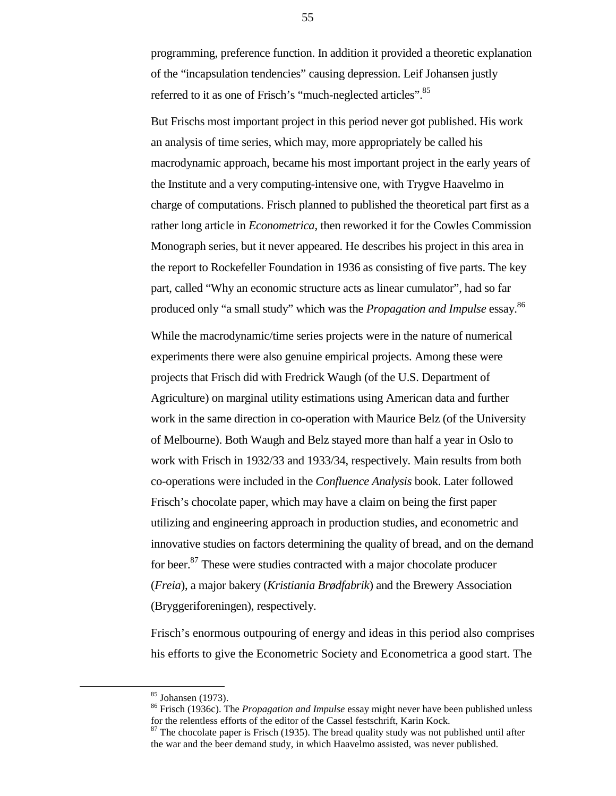programming, preference function. In addition it provided a theoretic explanation of the "incapsulation tendencies" causing depression. Leif Johansen justly referred to it as one of Frisch's "much-neglected articles".<sup>85</sup>

But Frischs most important project in this period never got published. His work an analysis of time series, which may, more appropriately be called his macrodynamic approach, became his most important project in the early years of the Institute and a very computing-intensive one, with Trygve Haavelmo in charge of computations. Frisch planned to published the theoretical part first as a rather long article in *Econometrica*, then reworked it for the Cowles Commission Monograph series, but it never appeared. He describes his project in this area in the report to Rockefeller Foundation in 1936 as consisting of five parts. The key part, called "Why an economic structure acts as linear cumulator", had so far produced only "a small study" which was the *Propagation and Impulse* essay.86

While the macrodynamic/time series projects were in the nature of numerical experiments there were also genuine empirical projects. Among these were projects that Frisch did with Fredrick Waugh (of the U.S. Department of Agriculture) on marginal utility estimations using American data and further work in the same direction in co-operation with Maurice Belz (of the University of Melbourne). Both Waugh and Belz stayed more than half a year in Oslo to work with Frisch in 1932/33 and 1933/34, respectively. Main results from both co-operations were included in the *Confluence Analysis* book. Later followed Frisch's chocolate paper, which may have a claim on being the first paper utilizing and engineering approach in production studies, and econometric and innovative studies on factors determining the quality of bread, and on the demand for beer.<sup>87</sup> These were studies contracted with a major chocolate producer (*Freia*), a major bakery (*Kristiania Brødfabrik*) and the Brewery Association (Bryggeriforeningen), respectively.

Frisch's enormous outpouring of energy and ideas in this period also comprises his efforts to give the Econometric Society and Econometrica a good start. The

 <sup>85</sup> Johansen (1973).

<sup>86</sup> Frisch (1936c). The *Propagation and Impulse* essay might never have been published unless for the relentless efforts of the editor of the Cassel festschrift, Karin Kock.

 $87$  The chocolate paper is Frisch (1935). The bread quality study was not published until after the war and the beer demand study, in which Haavelmo assisted, was never published.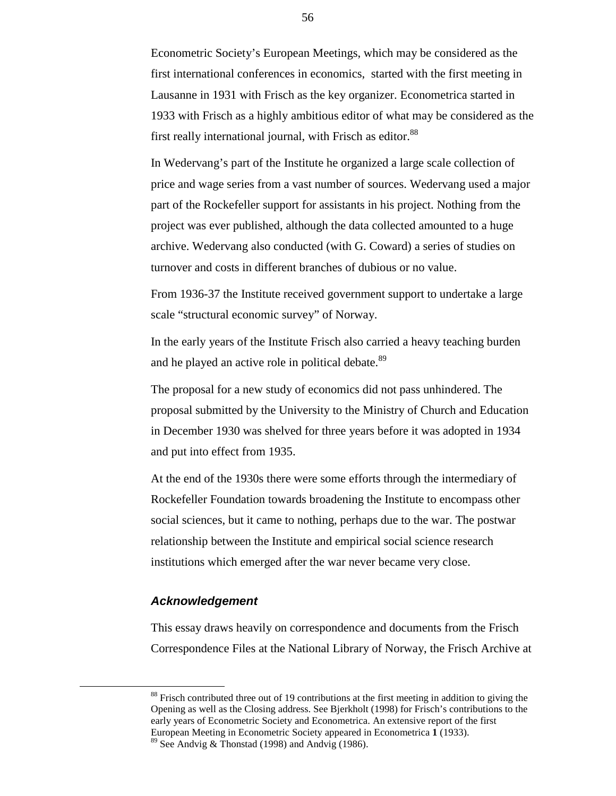Econometric Society's European Meetings, which may be considered as the first international conferences in economics, started with the first meeting in Lausanne in 1931 with Frisch as the key organizer. Econometrica started in 1933 with Frisch as a highly ambitious editor of what may be considered as the first really international journal, with Frisch as editor.<sup>88</sup>

In Wedervang's part of the Institute he organized a large scale collection of price and wage series from a vast number of sources. Wedervang used a major part of the Rockefeller support for assistants in his project. Nothing from the project was ever published, although the data collected amounted to a huge archive. Wedervang also conducted (with G. Coward) a series of studies on turnover and costs in different branches of dubious or no value.

From 1936-37 the Institute received government support to undertake a large scale "structural economic survey" of Norway.

In the early years of the Institute Frisch also carried a heavy teaching burden and he played an active role in political debate.<sup>89</sup>

The proposal for a new study of economics did not pass unhindered. The proposal submitted by the University to the Ministry of Church and Education in December 1930 was shelved for three years before it was adopted in 1934 and put into effect from 1935.

At the end of the 1930s there were some efforts through the intermediary of Rockefeller Foundation towards broadening the Institute to encompass other social sciences, but it came to nothing, perhaps due to the war. The postwar relationship between the Institute and empirical social science research institutions which emerged after the war never became very close.

#### *Acknowledgement*

This essay draws heavily on correspondence and documents from the Frisch Correspondence Files at the National Library of Norway, the Frisch Archive at

<sup>&</sup>lt;sup>88</sup> Frisch contributed three out of 19 contributions at the first meeting in addition to giving the Opening as well as the Closing address. See Bjerkholt (1998) for Frisch's contributions to the early years of Econometric Society and Econometrica. An extensive report of the first European Meeting in Econometric Society appeared in Econometrica **1** (1933). <sup>89</sup> See Andvig & Thonstad (1998) and Andvig (1986).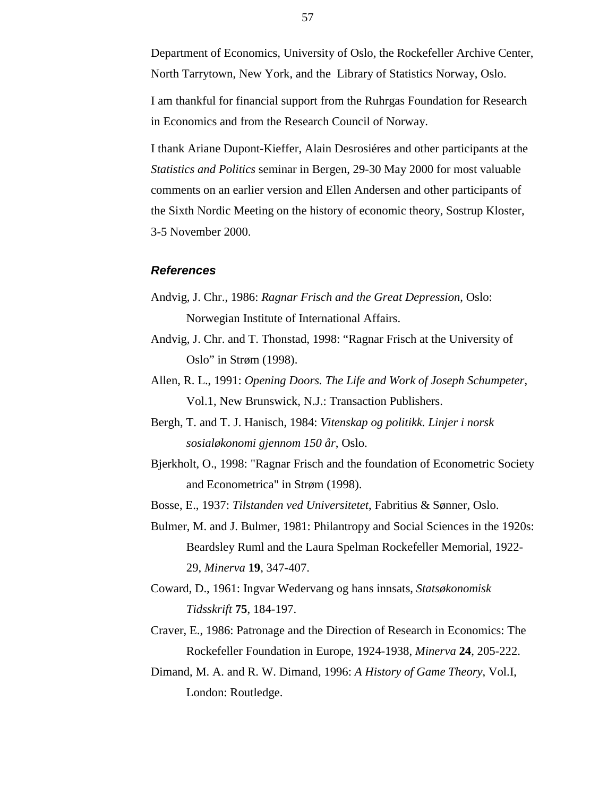Department of Economics, University of Oslo, the Rockefeller Archive Center, North Tarrytown, New York, and the Library of Statistics Norway, Oslo.

I am thankful for financial support from the Ruhrgas Foundation for Research in Economics and from the Research Council of Norway.

I thank Ariane Dupont-Kieffer, Alain Desrosiéres and other participants at the *Statistics and Politics* seminar in Bergen, 29-30 May 2000 for most valuable comments on an earlier version and Ellen Andersen and other participants of the Sixth Nordic Meeting on the history of economic theory, Sostrup Kloster, 3-5 November 2000.

#### *References*

- Andvig, J. Chr., 1986: *Ragnar Frisch and the Great Depression*, Oslo: Norwegian Institute of International Affairs.
- Andvig, J. Chr. and T. Thonstad, 1998: "Ragnar Frisch at the University of Oslo" in Strøm (1998).
- Allen, R. L., 1991: *Opening Doors. The Life and Work of Joseph Schumpeter*, Vol.1, New Brunswick, N.J.: Transaction Publishers.
- Bergh, T. and T. J. Hanisch, 1984: *Vitenskap og politikk. Linjer i norsk sosialøkonomi gjennom 150 år*, Oslo.
- Bjerkholt, O., 1998: "Ragnar Frisch and the foundation of Econometric Society and Econometrica" in Strøm (1998).

Bosse, E., 1937: *Tilstanden ved Universitetet*, Fabritius & Sønner, Oslo.

- Bulmer, M. and J. Bulmer, 1981: Philantropy and Social Sciences in the 1920s: Beardsley Ruml and the Laura Spelman Rockefeller Memorial, 1922- 29, *Minerva* **19**, 347-407.
- Coward, D., 1961: Ingvar Wedervang og hans innsats, *Statsøkonomisk Tidsskrift* **75**, 184-197.
- Craver, E., 1986: Patronage and the Direction of Research in Economics: The Rockefeller Foundation in Europe, 1924-1938, *Minerva* **24**, 205-222.
- Dimand, M. A. and R. W. Dimand, 1996: *A History of Game Theory*, Vol.I, London: Routledge.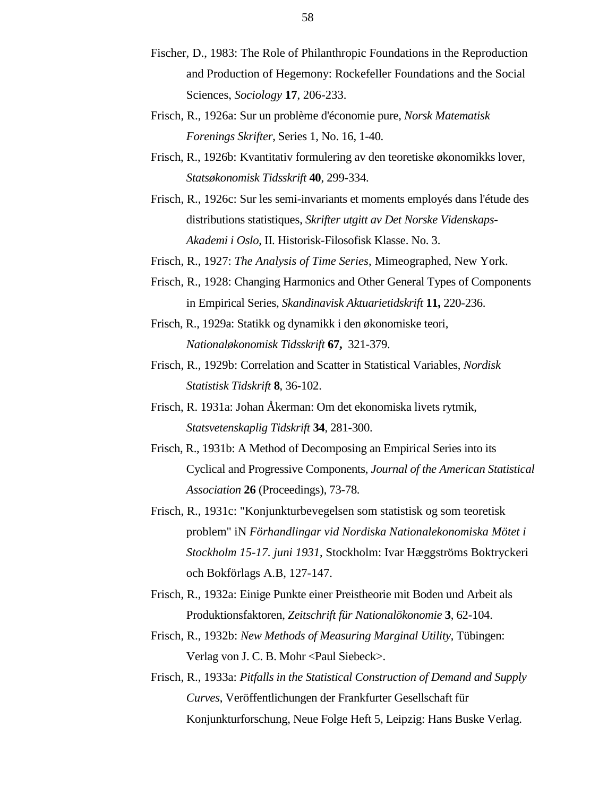- Fischer, D., 1983: The Role of Philanthropic Foundations in the Reproduction and Production of Hegemony: Rockefeller Foundations and the Social Sciences, *Sociology* **17**, 206-233.
- Frisch, R., 1926a: Sur un problème d'économie pure, *Norsk Matematisk Forenings Skrifter*, Series 1, No. 16, 1-40.
- Frisch, R., 1926b: Kvantitativ formulering av den teoretiske økonomikks lover, *Statsøkonomisk Tidsskrift* **40**, 299-334.
- Frisch, R., 1926c: Sur les semi-invariants et moments employés dans l'étude des distributions statistiques, *Skrifter utgitt av Det Norske Videnskaps-Akademi i Oslo*, II. Historisk-Filosofisk Klasse. No. 3.
- Frisch, R., 1927: *The Analysis of Time Series*, Mimeographed, New York.
- Frisch, R., 1928: Changing Harmonics and Other General Types of Components in Empirical Series, *Skandinavisk Aktuarietidskrift* **11,** 220-236.
- Frisch, R., 1929a: Statikk og dynamikk i den økonomiske teori, *Nationaløkonomisk Tidsskrift* **67,** 321-379.
- Frisch, R., 1929b: Correlation and Scatter in Statistical Variables, *Nordisk Statistisk Tidskrift* **8**, 36-102.
- Frisch, R. 1931a: Johan Åkerman: Om det ekonomiska livets rytmik, *Statsvetenskaplig Tidskrift* **34**, 281-300.
- Frisch, R., 1931b: A Method of Decomposing an Empirical Series into its Cyclical and Progressive Components, *Journal of the American Statistical Association* **26** (Proceedings), 73-78.
- Frisch, R., 1931c: "Konjunkturbevegelsen som statistisk og som teoretisk problem" iN *Förhandlingar vid Nordiska Nationalekonomiska Mötet i Stockholm 15-17. juni 1931*, Stockholm: Ivar Hæggströms Boktryckeri och Bokförlags A.B, 127-147.
- Frisch, R., 1932a: Einige Punkte einer Preistheorie mit Boden und Arbeit als Produktionsfaktoren, *Zeitschrift für Nationalökonomie* **3**, 62-104.
- Frisch, R., 1932b: *New Methods of Measuring Marginal Utility*, Tübingen: Verlag von J. C. B. Mohr <Paul Siebeck>.
- Frisch, R., 1933a: *Pitfalls in the Statistical Construction of Demand and Supply Curves*, Veröffentlichungen der Frankfurter Gesellschaft für Konjunkturforschung, Neue Folge Heft 5, Leipzig: Hans Buske Verlag.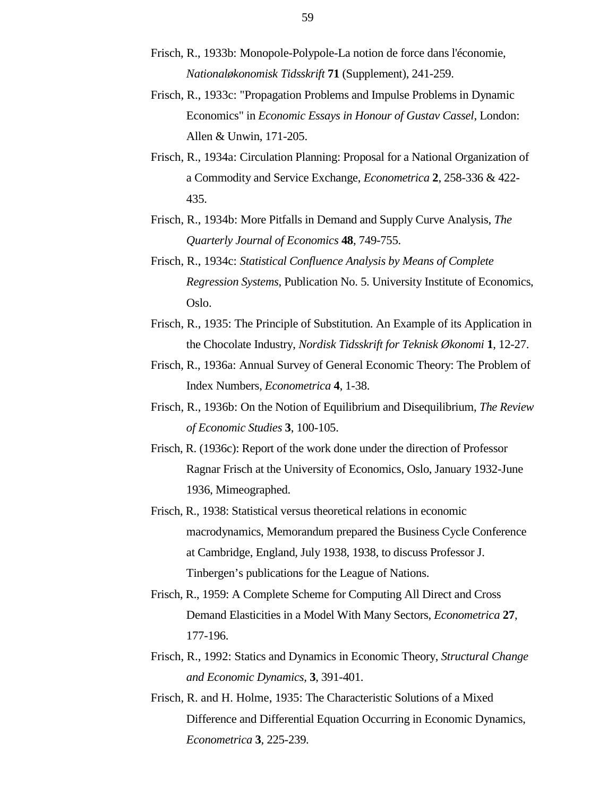- Frisch, R., 1933b: Monopole-Polypole-La notion de force dans l'économie, *Nationaløkonomisk Tidsskrift* **71** (Supplement), 241-259.
- Frisch, R., 1933c: "Propagation Problems and Impulse Problems in Dynamic Economics" in *Economic Essays in Honour of Gustav Cassel*, London: Allen & Unwin, 171-205.
- Frisch, R., 1934a: Circulation Planning: Proposal for a National Organization of a Commodity and Service Exchange, *Econometrica* **2**, 258-336 & 422- 435.
- Frisch, R., 1934b: More Pitfalls in Demand and Supply Curve Analysis, *The Quarterly Journal of Economics* **48**, 749-755.
- Frisch, R., 1934c: *Statistical Confluence Analysis by Means of Complete Regression Systems*, Publication No. 5. University Institute of Economics, Oslo.
- Frisch, R., 1935: The Principle of Substitution. An Example of its Application in the Chocolate Industry, *Nordisk Tidsskrift for Teknisk Økonomi* **1**, 12-27.
- Frisch, R., 1936a: Annual Survey of General Economic Theory: The Problem of Index Numbers, *Econometrica* **4**, 1-38.
- Frisch, R., 1936b: On the Notion of Equilibrium and Disequilibrium, *The Review of Economic Studies* **3**, 100-105.
- Frisch, R. (1936c): Report of the work done under the direction of Professor Ragnar Frisch at the University of Economics, Oslo, January 1932-June 1936, Mimeographed.
- Frisch, R., 1938: Statistical versus theoretical relations in economic macrodynamics, Memorandum prepared the Business Cycle Conference at Cambridge, England, July 1938, 1938, to discuss Professor J. Tinbergen's publications for the League of Nations.
- Frisch, R., 1959: A Complete Scheme for Computing All Direct and Cross Demand Elasticities in a Model With Many Sectors, *Econometrica* **27**, 177-196.
- Frisch, R., 1992: Statics and Dynamics in Economic Theory, *Structural Change and Economic Dynamics*, **3**, 391-401.
- Frisch, R. and H. Holme, 1935: The Characteristic Solutions of a Mixed Difference and Differential Equation Occurring in Economic Dynamics, *Econometrica* **3**, 225-239.